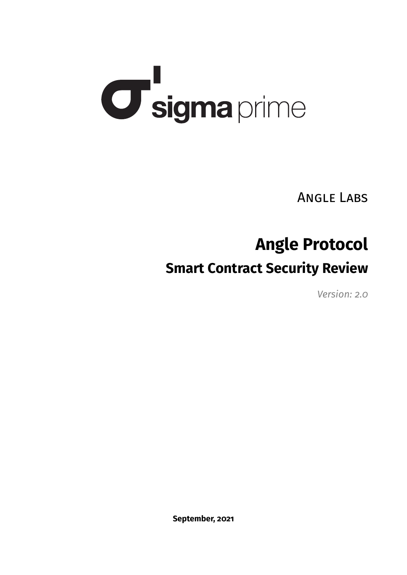# **U sigma** prime

Angle Labs

# **Angle Protocol**

# **Smart Contract Security Review**

*Version: 2.0*

**September, 2021**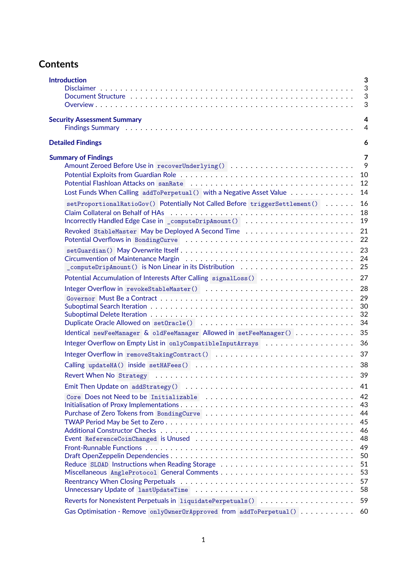# **Contents**

| <b>Introduction</b>                                                                                                                                 | 3<br>3                                 |
|-----------------------------------------------------------------------------------------------------------------------------------------------------|----------------------------------------|
|                                                                                                                                                     | 3<br>3                                 |
|                                                                                                                                                     |                                        |
| <b>Security Assessment Summary</b><br>Findings Summary (also contained also contained also contained also contained also contained also contained a | 4<br>$\overline{4}$                    |
| <b>Detailed Findings</b>                                                                                                                            | 6                                      |
| <b>Summary of Findings</b>                                                                                                                          | 7<br>9<br>10<br>12                     |
| Lost Funds When Calling addToPerpetual () with a Negative Asset Value                                                                               | 14                                     |
| setProportionalRatioGov() Potentially Not Called Before triggerSettlement()<br>Incorrectly Handled Edge Case in _computeDripAmount()                | 16<br>18<br>19                         |
|                                                                                                                                                     | 21<br>22                               |
|                                                                                                                                                     | 23<br>24<br>25                         |
| Potential Accumulation of Interests After Calling signalLoss ()                                                                                     | 27                                     |
|                                                                                                                                                     | 28<br>29<br>30<br>32<br>34             |
| Identical newFeeManager & oldFeeManager Allowed in setFeeManager()                                                                                  | 35                                     |
| Integer Overflow on Empty List in onlyCompatibleInputArrays                                                                                         | 36                                     |
| Integer Overflow in removeStakingContract()                                                                                                         | 37                                     |
|                                                                                                                                                     | 38<br>39                               |
|                                                                                                                                                     | 41                                     |
| Core Does not Need to be Initializable                                                                                                              | 42<br>43<br>44<br>45<br>46<br>48<br>49 |
| Reduce SLOAD Instructions when Reading Storage                                                                                                      | 50<br>51<br>53<br>57<br>58             |
|                                                                                                                                                     | 59                                     |
| Gas Optimisation - Remove only0wner0rApproved from addToPerpetual()                                                                                 | 60                                     |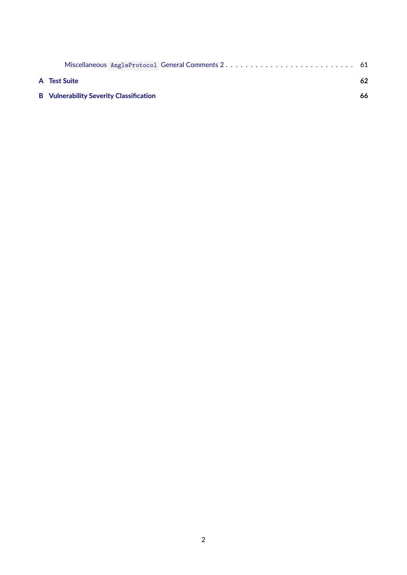| A Test Suite                                   | 62 |
|------------------------------------------------|----|
| <b>B</b> Vulnerability Severity Classification | 66 |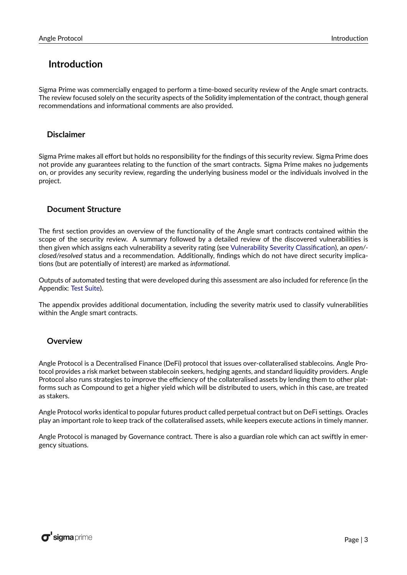## <span id="page-3-0"></span>**Introduction**

Sigma Prime was commercially engaged to perform a time-boxed security review of the Angle smart contracts. The review focused solely on the security aspects of the Solidity implementation of the contract, though general recommendations and informational comments are also provided.

#### <span id="page-3-1"></span>**Disclaimer**

Sigma Prime makes all effort but holds no responsibility for the findings of this security review. Sigma Prime does not provide any guarantees relating to the function of the smart contracts. Sigma Prime makes no judgements on, or provides any security review, regarding the underlying business model or the individuals involved in the project.

#### <span id="page-3-2"></span>**Document Structure**

The first section provides an overview of the functionality of the Angle smart contracts contained within the scope of the security review. A summary followed by a detailed review of the discovered vulnerabilities is then given which assigns each vulnerability a severity rating (see [Vulnerability Severity Classification\)](#page-66-0), an *open/ closed/resolved* status and a recommendation. Additionally, findings which do not have direct security implications (but are potentially of interest) are marked as *informational*.

Outputs of automated testing that were developed during this assessment are also included for reference (in the Appendix: [Test Suite\)](#page-62-0).

The appendix provides additional documentation, including the severity matrix used to classify vulnerabilities within the Angle smart contracts.

#### <span id="page-3-3"></span>**Overview**

Angle Protocol is a Decentralised Finance (DeFi) protocol that issues over-collateralised stablecoins. Angle Protocol provides a risk market between stablecoin seekers, hedging agents, and standard liquidity providers. Angle Protocol also runs strategies to improve the efficiency of the collateralised assets by lending them to other platforms such as Compound to get a higher yield which will be distributed to users, which in this case, are treated as stakers.

Angle Protocol works identical to popular futures product called perpetual contract but on DeFi settings. Oracles play an important role to keep track of the collateralised assets, while keepers execute actions in timely manner.

Angle Protocol is managed by Governance contract. There is also a guardian role which can act swiftly in emergency situations.

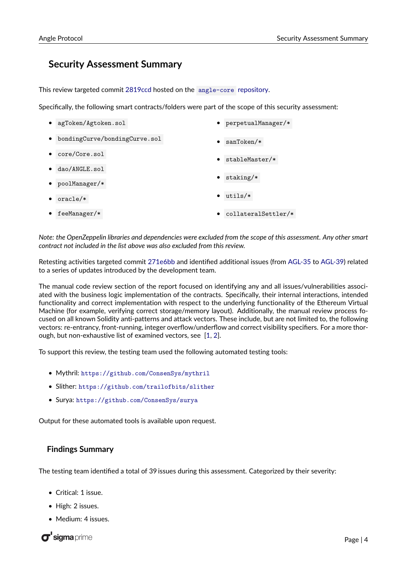## <span id="page-4-0"></span>**Security Assessment Summary**

This review targeted commit [2819ccd](https://github.com/AngleProtocol/angle-core/commit/2819ccd8b62b09ce948da5088acba7b0b575d3f8) hosted on the [angle-core](https://github.com/AngleProtocol/angle-core) repository.

Specifically, the following smart contracts/folders were part of the scope of this security assessment:

| agToken/Agtoken.sol                        | perpetualManager/*  |  |
|--------------------------------------------|---------------------|--|
| bondingCurve/bondingCurve.sol<br>$\bullet$ | $sanToken/*$        |  |
| core/Core.sol                              | stableMaster/*      |  |
| dao/ANGLE.sol                              |                     |  |
| poolManager/*                              | $staking/*$         |  |
| $oracle/*$                                 | $utils/*$           |  |
| feeManager/*                               | collateralSettler/* |  |

*Note: the OpenZeppelin libraries and dependencies were excluded from the scope of this assessment. Any other smart contract not included in the list above was also excluded from this review.*

Retesting activities targeted commit [271e6bb](https://github.com/AngleProtocol/angle-core/commit/271e6bb5d86ac4cad70cc55b33f597057a19feb3) and identified additional issues (from [AGL-35](#page-57-0) to [AGL-39\)](#page-60-0) related to a series of updates introduced by the development team.

The manual code review section of the report focused on identifying any and all issues/vulnerabilities associated with the business logic implementation of the contracts. Specifically, their internal interactions, intended functionality and correct implementation with respect to the underlying functionality of the Ethereum Virtual Machine (for example, verifying correct storage/memory layout). Additionally, the manual review process focused on all known Solidity anti-patterns and attack vectors. These include, but are not limited to, the following vectors: re-entrancy, front-running, integer overflow/underflow and correct visibility specifiers. For a more thorough, but non-exhaustive list of examined vectors, see [\[1,](#page-66-1) [2\]](#page-66-2).

To support this review, the testing team used the following automated testing tools:

- Mythril: <https://github.com/ConsenSys/mythril>
- Slither: <https://github.com/trailofbits/slither>
- Surya: <https://github.com/ConsenSys/surya>

Output for these automated tools is available upon request.

#### <span id="page-4-1"></span>**Findings Summary**

The testing team identified a total of 39 issues during this assessment. Categorized by their severity:

- Critical: 1 issue.
- High: 2 issues.
- Medium: 4 issues.

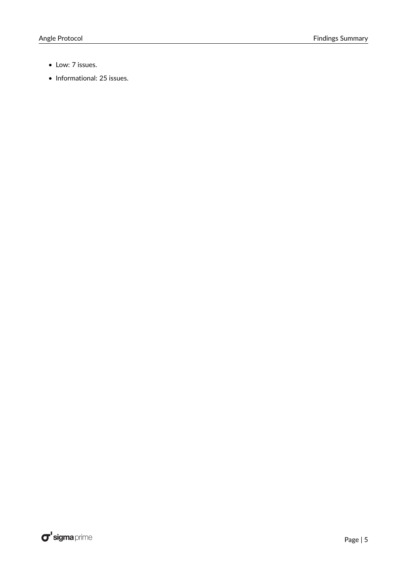- Low: 7 issues.
- Informational: 25 issues.

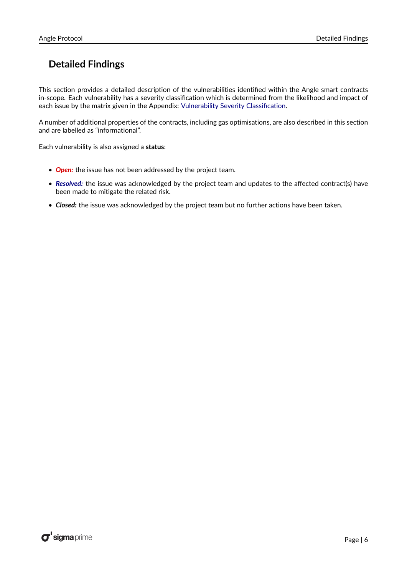# <span id="page-6-0"></span>**Detailed Findings**

This section provides a detailed description of the vulnerabilities identified within the Angle smart contracts in-scope. Each vulnerability has a severity classification which is determined from the likelihood and impact of each issue by the matrix given in the Appendix: [Vulnerability Severity Classification.](#page-66-0)

A number of additional properties of the contracts, including gas optimisations, are also described in this section and are labelled as "informational".

Each vulnerability is also assigned a **status**:

- *Open:* the issue has not been addressed by the project team.
- *Resolved:* the issue was acknowledged by the project team and updates to the affected contract(s) have been made to mitigate the related risk.
- *Closed:* the issue was acknowledged by the project team but no further actions have been taken.

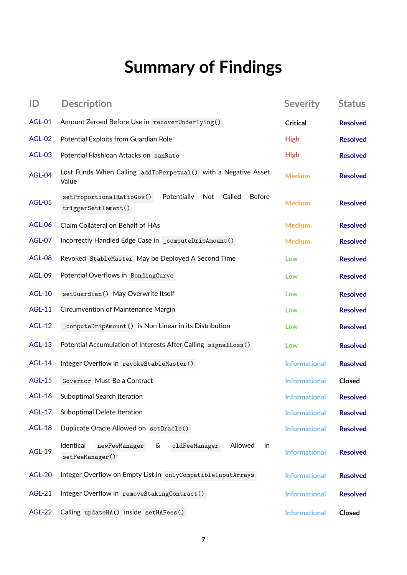# **Summary of Findings**

| ID            | <b>Description</b>                                                                                | <b>Severity</b>      | <b>Status</b>   |
|---------------|---------------------------------------------------------------------------------------------------|----------------------|-----------------|
| AGL-01        | Amount Zeroed Before Use in recoverUnderlying()                                                   | <b>Critical</b>      | <b>Resolved</b> |
| <b>AGL-02</b> | Potential Exploits from Guardian Role                                                             | <b>High</b>          | <b>Resolved</b> |
| <b>AGL-03</b> | Potential Flashloan Attacks on sanRate                                                            | <b>High</b>          | <b>Resolved</b> |
| AGL-04        | Lost Funds When Calling addToPerpetual () with a Negative Asset<br>Value                          | <b>Medium</b>        | <b>Resolved</b> |
| <b>AGL-05</b> | Potentially<br>Called<br><b>Before</b><br>setProportionalRatioGov()<br>Not<br>triggerSettlement() | <b>Medium</b>        | <b>Resolved</b> |
| <b>AGL-06</b> | Claim Collateral on Behalf of HAs                                                                 | <b>Medium</b>        | <b>Resolved</b> |
| <b>AGL-07</b> | Incorrectly Handled Edge Case in _computeDripAmount()                                             | <b>Medium</b>        | <b>Resolved</b> |
| <b>AGL-08</b> | Revoked StableMaster May be Deployed A Second Time                                                | Low                  | <b>Resolved</b> |
| <b>AGL-09</b> | Potential Overflows in BondingCurve                                                               | Low                  | <b>Resolved</b> |
| <b>AGL-10</b> | setGuardian() May Overwrite Itself                                                                | Low                  | <b>Resolved</b> |
| <b>AGL-11</b> | Circumvention of Maintenance Margin                                                               | Low                  | <b>Resolved</b> |
| <b>AGL-12</b> | _computeDripAmount() is Non Linear in its Distribution                                            | Low                  | <b>Resolved</b> |
| <b>AGL-13</b> | Potential Accumulation of Interests After Calling signalLoss()                                    | Low                  | <b>Resolved</b> |
| <b>AGL-14</b> | Integer Overflow in revokeStableMaster()                                                          | <b>Informational</b> | <b>Resolved</b> |
| <b>AGL-15</b> | Governor Must Be a Contract                                                                       | <b>Informational</b> | Closed          |
| <b>AGL-16</b> | Suboptimal Search Iteration                                                                       | <b>Informational</b> | <b>Resolved</b> |
| <b>AGL-17</b> | Suboptimal Delete Iteration                                                                       | <b>Informational</b> | <b>Resolved</b> |
| <b>AGL-18</b> | Duplicate Oracle Allowed on set0racle()                                                           | <b>Informational</b> | <b>Resolved</b> |
| <b>AGL-19</b> | Identical<br>&<br>Allowed<br>oldFeeManager<br>in<br>newFeeManager<br>setFeeManager()              | <b>Informational</b> | <b>Resolved</b> |
| <b>AGL-20</b> | Integer Overflow on Empty List in onlyCompatibleInputArrays                                       | <b>Informational</b> | <b>Resolved</b> |
| <b>AGL-21</b> | Integer Overflow in removeStakingContract()                                                       | <b>Informational</b> | <b>Resolved</b> |
| <b>AGL-22</b> | Calling updateHA() inside setHAFees()                                                             | <b>Informational</b> | Closed          |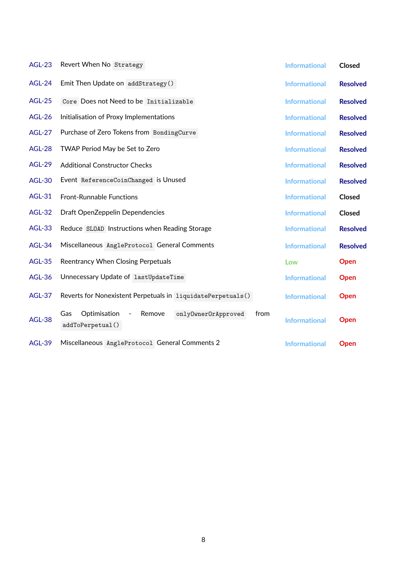| <b>AGL-23</b> | Revert When No Strategy                                                                            | <b>Informational</b> | <b>Closed</b>   |
|---------------|----------------------------------------------------------------------------------------------------|----------------------|-----------------|
| <b>AGL-24</b> | Emit Then Update on addStrategy()                                                                  | <b>Informational</b> | <b>Resolved</b> |
| <b>AGL-25</b> | Core Does not Need to be Initializable                                                             | <b>Informational</b> | <b>Resolved</b> |
| <b>AGL-26</b> | Initialisation of Proxy Implementations                                                            | <b>Informational</b> | <b>Resolved</b> |
| <b>AGL-27</b> | Purchase of Zero Tokens from BondingCurve                                                          | <b>Informational</b> | <b>Resolved</b> |
| <b>AGL-28</b> | TWAP Period May be Set to Zero                                                                     | <b>Informational</b> | <b>Resolved</b> |
| <b>AGL-29</b> | <b>Additional Constructor Checks</b>                                                               | <b>Informational</b> | <b>Resolved</b> |
| <b>AGL-30</b> | Event ReferenceCoinChanged is Unused                                                               | <b>Informational</b> | <b>Resolved</b> |
| <b>AGL-31</b> | <b>Front-Runnable Functions</b>                                                                    | <b>Informational</b> | Closed          |
| <b>AGL-32</b> | Draft OpenZeppelin Dependencies                                                                    | <b>Informational</b> | Closed          |
| <b>AGL-33</b> | Reduce SLOAD Instructions when Reading Storage                                                     | <b>Informational</b> | <b>Resolved</b> |
| <b>AGL-34</b> | Miscellaneous AngleProtocol General Comments                                                       | <b>Informational</b> | <b>Resolved</b> |
| <b>AGL-35</b> | Reentrancy When Closing Perpetuals                                                                 | Low                  | Open            |
| <b>AGL-36</b> | Unnecessary Update of lastUpdateTime                                                               | <b>Informational</b> | Open            |
| <b>AGL-37</b> | Reverts for Nonexistent Perpetuals in liquidatePerpetuals()                                        | <b>Informational</b> | <b>Open</b>     |
| <b>AGL-38</b> | Optimisation<br>Remove<br>onlyOwnerOrApproved<br>from<br>Gas<br>$\blacksquare$<br>addToPerpetual() | <b>Informational</b> | Open            |
| <b>AGL-39</b> | Miscellaneous AngleProtocol General Comments 2                                                     | <b>Informational</b> | Open            |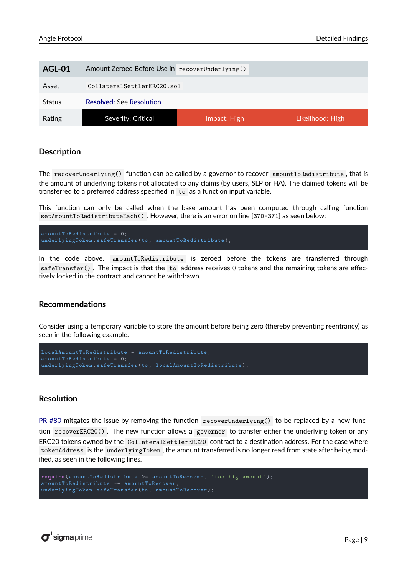<span id="page-9-0"></span>

| <b>AGL-01</b> | Amount Zeroed Before Use in recoverUnderlying() |              |                  |
|---------------|-------------------------------------------------|--------------|------------------|
| Asset         | CollateralSettlerERC20.sol                      |              |                  |
| <b>Status</b> | <b>Resolved:</b> See Resolution                 |              |                  |
| Rating        | Severity: Critical                              | Impact: High | Likelihood: High |

The recoverUnderlying() function can be called by a governor to recover amountToRedistribute , that is the amount of underlying tokens not allocated to any claims (by users, SLP or HA). The claimed tokens will be transferred to a preferred address specified in to as a function input variable.

This function can only be called when the base amount has been computed through calling function setAmountToRedistributeEach() . However, there is an error on line [**370-371**] as seen below:

```
underlyingToken . safeTransfer (to , amountToRedistribute );
```
In the code above, amountToRedistribute is zeroed before the tokens are transferred through safeTransfer(). The impact is that the to address receives  $0$  tokens and the remaining tokens are effectively locked in the contract and cannot be withdrawn.

#### **Recommendations**

Consider using a temporary variable to store the amount before being zero (thereby preventing reentrancy) as seen in the following example.

```
amountToRedistribute = 0;
underlyingToken . safeTransfer (to , localAmountToRedistribute );
```
#### <span id="page-9-1"></span>**Resolution**

[PR #80](https://github.com/AngleProtocol/angle-solidity/pull/80/files) mitgates the issue by removing the function recoverUnderlying() to be replaced by a new function recoverERC20() . The new function allows a governor to transfer either the underlying token or any ERC20 tokens owned by the CollateralSettlerERC20 contract to a destination address. For the case where tokenAddress is the underlyingToken , the amount transferred is no longer read from state after being modified, as seen in the following lines.

```
require ( amountToRedistribute >= amountToRecover , "too big amount ");
underlyingToken . safeTransfer (to , amountToRecover );
```
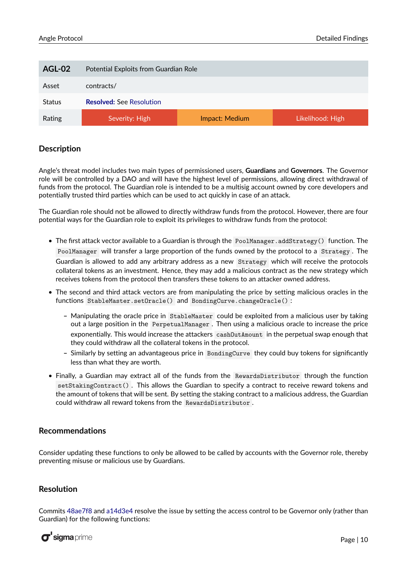<span id="page-10-0"></span>

| AGL-02        | Potential Exploits from Guardian Role |                |                  |
|---------------|---------------------------------------|----------------|------------------|
| Asset         | contracts/                            |                |                  |
| <b>Status</b> | <b>Resolved: See Resolution</b>       |                |                  |
| Rating        | Severity: High                        | Impact: Medium | Likelihood: High |

Angle's threat model includes two main types of permissioned users, **Guardians** and **Governors**. The Governor role will be controlled by a DAO and will have the highest level of permissions, allowing direct withdrawal of funds from the protocol. The Guardian role is intended to be a multisig account owned by core developers and potentially trusted third parties which can be used to act quickly in case of an attack.

The Guardian role should not be allowed to directly withdraw funds from the protocol. However, there are four potential ways for the Guardian role to exploit its privileges to withdraw funds from the protocol:

- The first attack vector available to a Guardian is through the PoolManager. addStrategy() function. The PoolManager will transfer a large proportion of the funds owned by the protocol to a Strategy . The Guardian is allowed to add any arbitrary address as a new Strategy which will receive the protocols collateral tokens as an investment. Hence, they may add a malicious contract as the new strategy which receives tokens from the protocol then transfers these tokens to an attacker owned address.
- The second and third attack vectors are from manipulating the price by setting malicious oracles in the functions StableMaster.setOracle() and BondingCurve.changeOracle() :
	- **–** Manipulating the oracle price in StableMaster could be exploited from a malicious user by taking out a large position in the PerpetualManager . Then using a malicious oracle to increase the price exponentially. This would increase the attackers cashOutAmount in the perpetual swap enough that they could withdraw all the collateral tokens in the protocol.
	- **–** Similarly by setting an advantageous price in BondingCurve they could buy tokens for significantly less than what they are worth.
- Finally, a Guardian may extract all of the funds from the RewardsDistributor through the function setStakingContract() . This allows the Guardian to specify a contract to receive reward tokens and the amount of tokens that will be sent. By setting the staking contract to a malicious address, the Guardian could withdraw all reward tokens from the RewardsDistributor .

#### **Recommendations**

Consider updating these functions to only be allowed to be called by accounts with the Governor role, thereby preventing misuse or malicious use by Guardians.

#### <span id="page-10-1"></span>**Resolution**

Commits [48ae7f8](https://github.com/AngleProtocol/angle-solidity/commit/48ae7f817c92212c31df2ae05d12c7f7da6f0861) and [a14d3e4](https://github.com/AngleProtocol/angle-solidity/commit/a14d3e4c80d49e40cb14d63615fcb7111dd84c4d) resolve the issue by setting the access control to be Governor only (rather than Guardian) for the following functions:

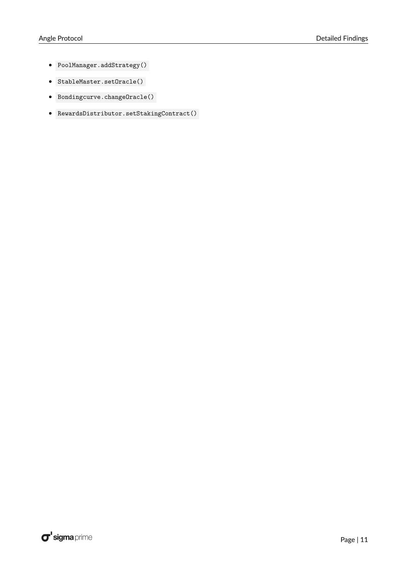- PoolManager.addStrategy()
- StableMaster.setOracle()
- Bondingcurve.changeOracle()
- RewardsDistributor.setStakingContract()

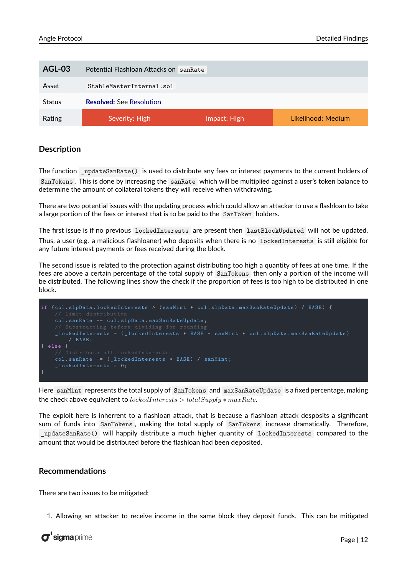<span id="page-12-0"></span>

| AGL-03        | Potential Flashloan Attacks on san Rate |              |                    |
|---------------|-----------------------------------------|--------------|--------------------|
| Asset         | StableMasterInternal.sol                |              |                    |
| <b>Status</b> | <b>Resolved: See Resolution</b>         |              |                    |
| Rating        | Severity: High                          | Impact: High | Likelihood: Medium |

The function \_updateSanRate() is used to distribute any fees or interest payments to the current holders of SanTokens . This is done by increasing the sanRate which will be multiplied against a user's token balance to determine the amount of collateral tokens they will receive when withdrawing.

There are two potential issues with the updating process which could allow an attacker to use a flashloan to take a large portion of the fees or interest that is to be paid to the SanToken holders.

The first issue is if no previous lockedInterests are present then lastBlockUpdated will not be updated. Thus, a user (e.g. a malicious flashloaner) who deposits when there is no lockedInterests is still eligible for any future interest payments or fees received during the block.

The second issue is related to the protection against distributing too high a quantity of fees at one time. If the fees are above a certain percentage of the total supply of SanTokens then only a portion of the income will be distributed. The following lines show the check if the proportion of fees is too high to be distributed in one block.

```
if ( col . slpData . lockedInterests > ( sanMint * col . slpData . maxSanRateUpdate ) / BASE ) {
    col . sanRate += col . slpData . maxSanRateUpdate ;
    _lockedInterests = ( _lockedInterests * BASE - sanMint * col . slpData . maxSanRateUpdate )
        / BASE ;
} else {
    col . sanRate += ( _lockedInterests * BASE ) / sanMint ;
    \_lockedInterests = 0;}
```
Here sanMint represents the total supply of SanTokens and maxSanRateUpdate is a fixed percentage, making the check above equivalent to *lockedInterests > totalSupply* ∗ *maxRate*.

The exploit here is inherrent to a flashloan attack, that is because a flashloan attack desposits a significant sum of funds into SanTokens , making the total supply of SanTokens increase dramatically. Therefore, \_updateSanRate() will happily distribute a much higher quantity of lockedInterests compared to the amount that would be distributed before the flashloan had been deposited.

#### **Recommendations**

There are two issues to be mitigated:

1. Allowing an attacker to receive income in the same block they deposit funds. This can be mitigated

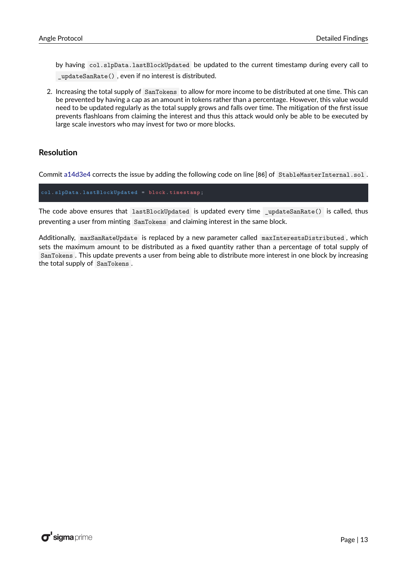by having col.slpData.lastBlockUpdated be updated to the current timestamp during every call to \_updateSanRate() , even if no interest is distributed.

2. Increasing the total supply of SanTokens to allow for more income to be distributed at one time. This can be prevented by having a cap as an amount in tokens rather than a percentage. However, this value would need to be updated regularly as the total supply grows and falls over time. The mitigation of the first issue prevents flashloans from claiming the interest and thus this attack would only be able to be executed by large scale investors who may invest for two or more blocks.

#### <span id="page-13-0"></span>**Resolution**

Commit [a14d3e4](https://github.com/AngleProtocol/angle-solidity/commit/a14d3e4c80d49e40cb14d63615fcb7111dd84c4d) corrects the issue by adding the following code on line [**86**] of StableMasterInternal.sol .

col . slpData . lastBlockUpdated = **block** . **timestamp** ;

The code above ensures that lastBlockUpdated is updated every time \_updateSanRate() is called, thus preventing a user from minting SanTokens and claiming interest in the same block.

Additionally, maxSanRateUpdate is replaced by a new parameter called maxInterestsDistributed , which sets the maximum amount to be distributed as a fixed quantity rather than a percentage of total supply of SanTokens . This update prevents a user from being able to distribute more interest in one block by increasing the total supply of SanTokens .

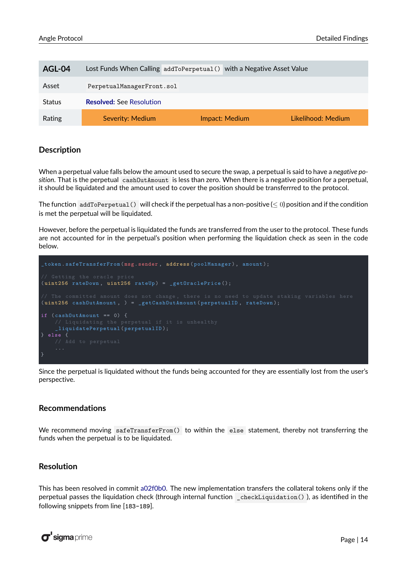<span id="page-14-0"></span>

| AGL-04        | Lost Funds When Calling addToPerpetual () with a Negative Asset Value |                |                    |
|---------------|-----------------------------------------------------------------------|----------------|--------------------|
| Asset         | PerpetualManagerFront.sol                                             |                |                    |
| <b>Status</b> | <b>Resolved: See Resolution</b>                                       |                |                    |
| Rating        | Severity: Medium                                                      | Impact: Medium | Likelihood: Medium |

When a perpetual value falls below the amount used to secure the swap, a perpetual is said to have a *negative position*. That is the perpetual cashOutAmount is less than zero. When there is a negative position for a perpetual, it should be liquidated and the amount used to cover the position should be transferrred to the protocol.

The function addToPerpetual() will check if the perpetual has a non-positive ( $\leq 0$ ) position and if the condition is met the perpetual will be liquidated.

However, before the perpetual is liquidated the funds are transferred from the user to the protocol. These funds are not accounted for in the perpetual's position when performing the liquidation check as seen in the code below.



Since the perpetual is liquidated without the funds being accounted for they are essentially lost from the user's perspective.

#### **Recommendations**

We recommend moving safeTransferFrom() to within the else statement, thereby not transferring the funds when the perpetual is to be liquidated.

#### <span id="page-14-1"></span>**Resolution**

This has been resolved in commit [a02f0b0.](https://github.com/AngleProtocol/angle-solidity/commit/a02f0b06688eed87cab2da8453f9ed52986320b5) The new implementation transfers the collateral tokens only if the perpetual passes the liquidation check (through internal function \_checkLiquidation() ), as identified in the following snippets from line [**183-189**].

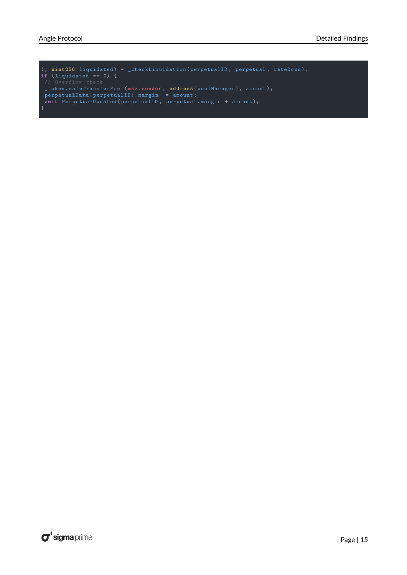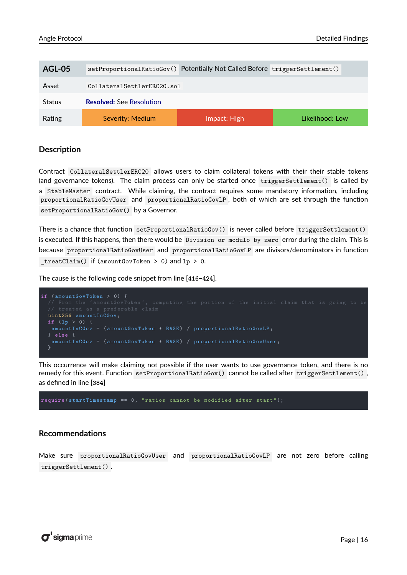<span id="page-16-0"></span>

| AGL-05        | setProportionalRatioGov() Potentially Not Called Before triggerSettlement() |              |                 |
|---------------|-----------------------------------------------------------------------------|--------------|-----------------|
| Asset         | CollateralSettlerERC20.sol                                                  |              |                 |
| <b>Status</b> | <b>Resolved:</b> See Resolution                                             |              |                 |
| Rating        | Severity: Medium                                                            | Impact: High | Likelihood: Low |

Contract CollateralSettlerERC20 allows users to claim collateral tokens with their their stable tokens (and governance tokens). The claim process can only be started once triggerSettlement() is called by a StableMaster contract. While claiming, the contract requires some mandatory information, including proportionalRatioGovUser and proportionalRatioGovLP , both of which are set through the function setProportionalRatioGov() by a Governor.

There is a chance that function setProportionalRatioGov() is never called before triggerSettlement() is executed. If this happens, then there would be Division or modulo by zero error during the claim. This is because proportionalRatioGovUser and proportionalRatioGovLP are divisors/denominators in function  $_t$ treatClaim() if (amountGovToken > 0) and  $lp > 0$ .

The cause is the following code snippet from line [**416-424**].



This occurrence will make claiming not possible if the user wants to use governance token, and there is no remedy for this event. Function setProportionalRatioGov() cannot be called after triggerSettlement() , as defined in line [**384**]

**require** ( startTimestamp == 0, " ratios cannot be modified after start ");

#### **Recommendations**

Make sure proportionalRatioGovUser and proportionalRatioGovLP are not zero before calling triggerSettlement() .

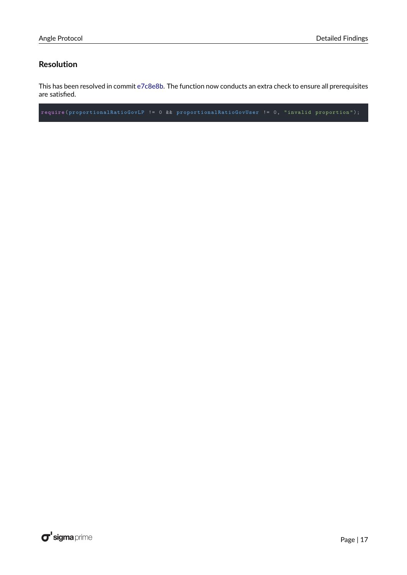#### <span id="page-17-0"></span>**Resolution**

This has been resolved in commit [e7c8e8b.](https://github.com/AngleProtocol/angle-solidity/commit/e7c8e8bdacd68b8814093b2fd6eeb64e6cc0fa3a) The function now conducts an extra check to ensure all prerequisites are satisfied.

**require** ( proportionalRatioGovLP != 0 && proportionalRatioGovUser != 0, " invalid proportion ");

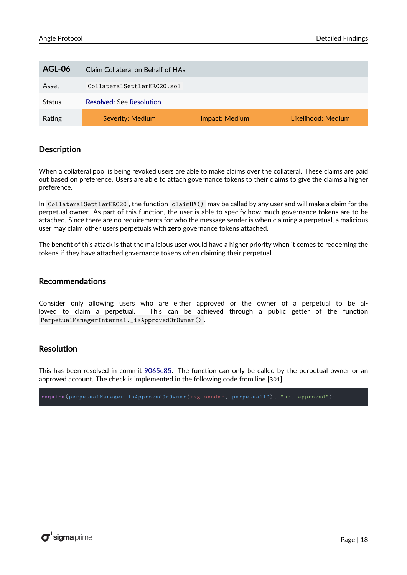<span id="page-18-0"></span>

| AGL-06        | Claim Collateral on Behalf of HAs |                |                    |
|---------------|-----------------------------------|----------------|--------------------|
| Asset         | CollateralSettlerERC20.sol        |                |                    |
| <b>Status</b> | <b>Resolved: See Resolution</b>   |                |                    |
| Rating        | Severity: Medium                  | Impact: Medium | Likelihood: Medium |

When a collateral pool is being revoked users are able to make claims over the collateral. These claims are paid out based on preference. Users are able to attach governance tokens to their claims to give the claims a higher preference.

In CollateralSettlerERC20 , the function claimHA() may be called by any user and will make a claim for the perpetual owner. As part of this function, the user is able to specify how much governance tokens are to be attached. Since there are no requirements for who the message sender is when claiming a perpetual, a malicious user may claim other users perpetuals with **zero** governance tokens attached.

The benefit of this attack is that the malicious user would have a higher priority when it comes to redeeming the tokens if they have attached governance tokens when claiming their perpetual.

#### **Recommendations**

Consider only allowing users who are either approved or the owner of a perpetual to be allowed to claim a perpetual. This can be achieved through a public getter of the function PerpetualManagerInternal.\_isApprovedOrOwner() .

#### <span id="page-18-1"></span>**Resolution**

This has been resolved in commit [9065e85.](https://github.com/AngleProtocol/angle-solidity/commit/9065e8527fb8ee4972ecc02bee8ca6b7b3734a11) The function can only be called by the perpetual owner or an approved account. The check is implemented in the following code from line [**301**].

**require** ( perpetualManager . isApprovedOrOwner ( **msg** . **sender** , perpetualID ), " not approved ");

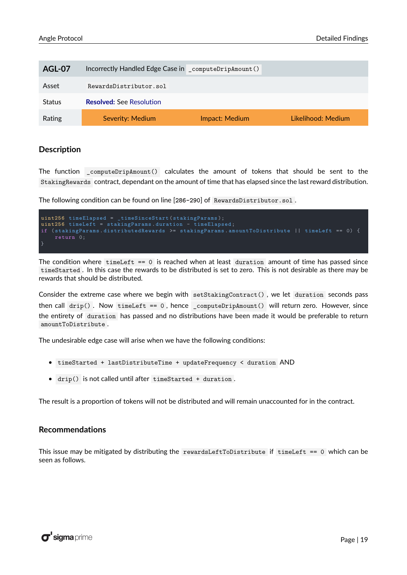<span id="page-19-0"></span>

| AGL-07        | Incorrectly Handled Edge Case in _computeDripAmount() |                |                    |
|---------------|-------------------------------------------------------|----------------|--------------------|
| Asset         | RewardsDistributor.sol                                |                |                    |
| <b>Status</b> | <b>Resolved: See Resolution</b>                       |                |                    |
| Rating        | Severity: Medium                                      | Impact: Medium | Likelihood: Medium |

The function computeDripAmount() calculates the amount of tokens that should be sent to the StakingRewards contract, dependant on the amount of time that has elapsed since the last reward distribution.

The following condition can be found on line [**286-290**] of RewardsDistributor.sol .

```
uint256 timeElapsed = _timeSinceStart (stakingParams);
uint256 timeLeft = stakingParams . duration - timeElapsed ;
if ( stakingParams . distributedRewards >= stakingParams . amountToDistribute || timeLeft == 0) {
    return 0;
```
The condition where  $timeLeft == 0$  is reached when at least duration amount of time has passed since timeStarted . In this case the rewards to be distributed is set to zero. This is not desirable as there may be rewards that should be distributed.

Consider the extreme case where we begin with setStakingContract() , we let duration seconds pass then call  $\text{drip}()$ . Now timeLeft == 0, hence \_computeDripAmount() will return zero. However, since the entirety of duration has passed and no distributions have been made it would be preferable to return amountToDistribute .

The undesirable edge case will arise when we have the following conditions:

- timeStarted + lastDistributeTime + updateFrequency < duration AND
- drip() is not called until after timeStarted + duration .

The result is a proportion of tokens will not be distributed and will remain unaccounted for in the contract.

#### **Recommendations**

This issue may be mitigated by distributing the rewardsLeftToDistribute if timeLeft == 0 which can be seen as follows.

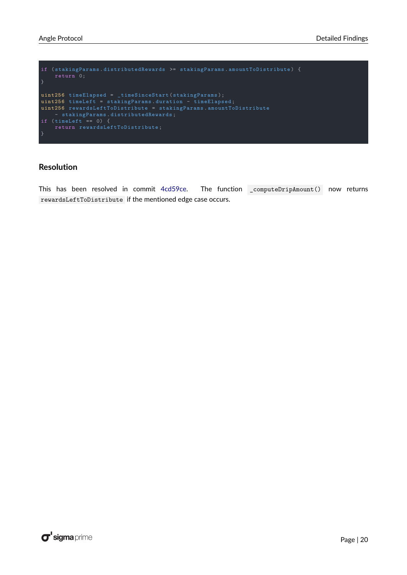```
if ( stakingParams . distributedRewards >= stakingParams . amountToDistribute ) {
uint256 timeElapsed = _timeSinceStart ( stakingParams );
uint256 timeLeft = stakingParams . duration - timeElapsed ;
uint256 rewardsLeftToDistribute = stakingParams . amountToDistribute
    - stakingParams . distributedRewards ;
if ( timeLeft == 0) {
    return rewardsLeftToDistribute ;
}
```
#### <span id="page-20-0"></span>**Resolution**

This has been resolved in commit [4cd59ce.](https://github.com/AngleProtocol/angle-solidity/commit/4cd59cee5b6cfa04ca797a260b6b2fc6568495e4) The function \_computeDripAmount() now returns rewardsLeftToDistribute if the mentioned edge case occurs.

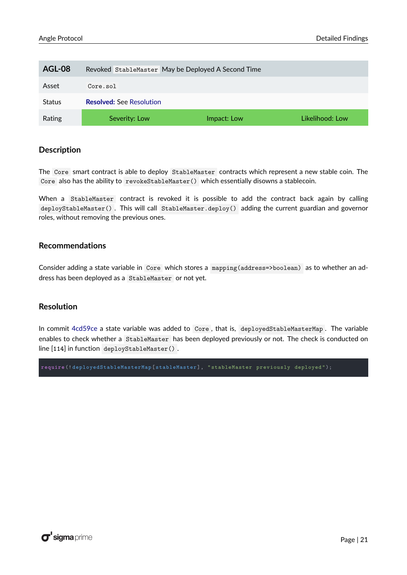<span id="page-21-0"></span>

| AGL-08        |                                 | Revoked StableMaster May be Deployed A Second Time |                 |
|---------------|---------------------------------|----------------------------------------------------|-----------------|
| Asset         | Core.sol                        |                                                    |                 |
| <b>Status</b> | <b>Resolved:</b> See Resolution |                                                    |                 |
| Rating        | Severity: Low                   | Impact: Low                                        | Likelihood: Low |

The Core smart contract is able to deploy StableMaster contracts which represent a new stable coin. The Core also has the ability to revokeStableMaster() which essentially disowns a stablecoin.

When a StableMaster contract is revoked it is possible to add the contract back again by calling deployStableMaster() . This will call StableMaster.deploy() adding the current guardian and governor roles, without removing the previous ones.

#### **Recommendations**

Consider adding a state variable in Core which stores a mapping(address=>boolean) as to whether an address has been deployed as a StableMaster or not yet.

#### <span id="page-21-1"></span>**Resolution**

In commit [4cd59ce](https://github.com/AngleProtocol/angle-solidity/commit/4cd59cee5b6cfa04ca797a260b6b2fc6568495e4) a state variable was added to Core, that is, deployedStableMasterMap. The variable enables to check whether a StableMaster has been deployed previously or not. The check is conducted on line [**114**] in function deployStableMaster() .

**require** (! deployedStableMasterMap [ stableMaster ], " stableMaster previously deployed ");

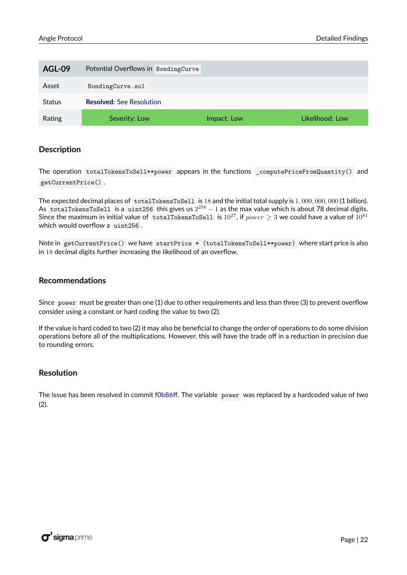<span id="page-22-0"></span>

| <b>AGL-09</b> | Potential Overflows in BondingCurve |             |                 |
|---------------|-------------------------------------|-------------|-----------------|
| Asset         | BondingCurve.sol                    |             |                 |
| <b>Status</b> | <b>Resolved: See Resolution</b>     |             |                 |
| Rating        | Severity: Low                       | Impact: Low | Likelihood: Low |

The operation totalTokensToSell\*\*power appears in the functions \_computePriceFromQuantity() and getCurrentPrice() .

The expected decimal places of totalTokensToSell is 18 and the initial total supply is 1*,* 000*,* 000*,* 000 (1 billion). As  $\,$  totalTokensToSell  $\,$  is a  $\,$  uint256  $\,$  this gives us  $2^{256}-1$  as the max value which is about 78 decimal digits. Since the maximum in initial value of totalTokensToSell is  $10^{27}$ , if *power*  $\geq$  3 we could have a value of  $10^{81}$ which would overflow a uint256 .

Note in getCurrentPrice() we have startPrice \* (totalTokensToSell\*\*power) where start price is also in 18 decimal digits further increasing the likelihood of an overflow.

#### **Recommendations**

Since power must be greater than one (1) due to other requirements and less than three (3) to prevent overflow consider using a constant or hard coding the value to two (2).

If the value is hard coded to two (2) it may also be beneficial to change the order of operations to do some division operations before all of the multiplications. However, this will have the trade off in a reduction in precision due to rounding errors.

#### <span id="page-22-2"></span>**Resolution**

<span id="page-22-1"></span>The issue has been resolved in commit [f0b86ff.](https://github.com/AngleProtocol/angle-solidity/commit/f0b86ffb6085fab3613e7d4c18ed3ea4a331f062) The variable power was replaced by a hardcoded value of two (2).

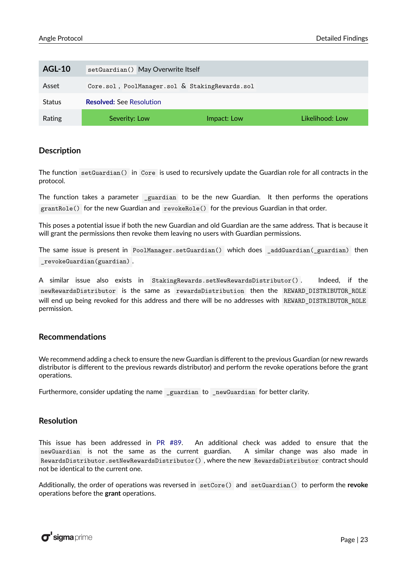| <b>AGL-10</b> | setGuardian() May Overwrite Itself             |             |                 |
|---------------|------------------------------------------------|-------------|-----------------|
| Asset         | Core.sol, PoolManager.sol & StakingRewards.sol |             |                 |
| <b>Status</b> | <b>Resolved: See Resolution</b>                |             |                 |
| Rating        | Severity: Low                                  | Impact: Low | Likelihood: Low |

The function setGuardian() in Core is used to recursively update the Guardian role for all contracts in the protocol.

The function takes a parameter guardian to be the new Guardian. It then performs the operations grantRole() for the new Guardian and revokeRole() for the previous Guardian in that order.

This poses a potential issue if both the new Guardian and old Guardian are the same address. That is because it will grant the permissions then revoke them leaving no users with Guardian permissions.

The same issue is present in PoolManager.setGuardian() which does \_addGuardian(\_guardian) then \_revokeGuardian(guardian) .

A similar issue also exists in StakingRewards.setNewRewardsDistributor() . Indeed, if the newRewardsDistributor is the same as rewardsDistribution then the REWARD\_DISTRIBUTOR\_ROLE will end up being revoked for this address and there will be no addresses with REWARD\_DISTRIBUTOR\_ROLE permission.

#### **Recommendations**

We recommend adding a check to ensure the new Guardian is different to the previous Guardian (or new rewards distributor is different to the previous rewards distributor) and perform the revoke operations before the grant operations.

Furthermore, consider updating the name \_guardian to \_newGuardian for better clarity.

#### <span id="page-23-1"></span>**Resolution**

This issue has been addressed in [PR #89.](https://github.com/AngleProtocol/angle-solidity/pull/89/files) An additional check was added to ensure that the newGuardian is not the same as the current guardian. A similar change was also made in RewardsDistributor.setNewRewardsDistributor() , where the new RewardsDistributor contract should not be identical to the current one.

<span id="page-23-0"></span>Additionally, the order of operations was reversed in setCore() and setGuardian() to perform the **revoke** operations before the **grant** operations.

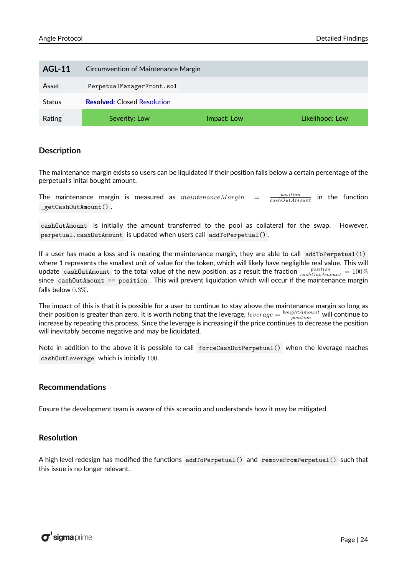| <b>AGL-11</b> | Circumvention of Maintenance Margin |             |                 |
|---------------|-------------------------------------|-------------|-----------------|
| Asset         | PerpetualManagerFront.sol           |             |                 |
| <b>Status</b> | <b>Resolved:</b> Closed Resolution  |             |                 |
| Rating        | Severity: Low                       | Impact: Low | Likelihood: Low |

The maintenance margin exists so users can be liquidated if their position falls below a certain percentage of the perpetual's inital bought amount.

The maintenance margin is measured as  $maintenance Margin =$ *position cashOutAmount* in the function \_getCashOutAmount() .

cashOutAmount is initially the amount transferred to the pool as collateral for the swap. However, perpetual.cashOutAmount is updated when users call addToPerpetual() .

If a user has made a loss and is nearing the maintenance margin, they are able to call addToPerpetual(1) where 1 represents the smallest unit of value for the token, which will likely have negligible real value. This will  $t$ update  $\frac{position}{cashOutAmount}$  to the total value of the new position, as a result the fraction  $\frac{position}{cashOutAmount} = 100\%$  $since  $cashOutAmount == position$ . This will prevent liquidation which will occur if the maintenance margin$ falls below 0*.*3%.

The impact of this is that it is possible for a user to continue to stay above the maintenance margin so long as their position is greater than zero. It is worth noting that the leverage,  $leverage = \frac{boughtAmount}{position}$  will continue to increase by repeating this process. Since the leverage is increasing if the price continues to decrease the position will inevitably become negative and may be liquidated.

Note in addition to the above it is possible to call forceCashOutPerpetual() when the leverage reaches cashOutLeverage which is initially 100.

#### **Recommendations**

Ensure the development team is aware of this scenario and understands how it may be mitigated.

#### <span id="page-24-1"></span>**Resolution**

<span id="page-24-0"></span>A high level redesign has modified the functions addToPerpetual() and removeFromPerpetual() such that this issue is no longer relevant.

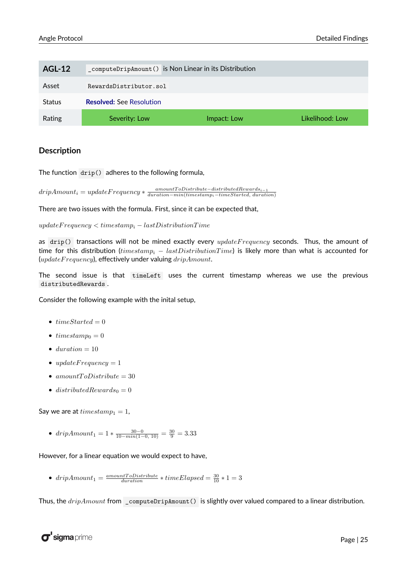| <b>AGL-12</b> |                                 | _computeDripAmount() is Non Linear in its Distribution |                 |
|---------------|---------------------------------|--------------------------------------------------------|-----------------|
| Asset         | RewardsDistributor.sol          |                                                        |                 |
| <b>Status</b> | <b>Resolved:</b> See Resolution |                                                        |                 |
| Rating        | Severity: Low                   | Impact: Low                                            | Likelihood: Low |

The function drip() adheres to the following formula,

 $dripAmount_i = updateFrequency * \frac{amountToD is triple-distributed Rewards_{i-1}}{duration-min(timestamm_i - timeStrategy_{i-1}}$ *duration*−*min*(*timestampi*−*timeStarted, duration*)

There are two issues with the formula. First, since it can be expected that,

*updateF requency < timestamp<sup>i</sup>* − *lastDistributionT ime*

as drip() transactions will not be mined exactly every *updateF requency* seconds. Thus, the amount of time for this distribution (*timestamp<sup>i</sup>* − *lastDistributionT ime*) is likely more than what is accounted for (*updateF requency*), effectively under valuing *dripAmount*.

The second issue is that timeLeft uses the current timestamp whereas we use the previous distributedRewards .

Consider the following example with the inital setup,

- $timeStarted = 0$
- $\textit{timestamp}_0 = 0$
- $\bullet$  *duration* = 10
- $updateFrequency = 1$
- $amountToD istribute = 30$
- $distributedRewards_0 = 0$

Say we are at  $timestamp_1 = 1$ ,

•  $dripAmount_1 = 1 * \frac{30 - 0}{10 - min(1 - 0, 10)} = \frac{30}{9} = 3.33$ 

However, for a linear equation we would expect to have,

•  $dripAmount_1 = \frac{amountToDistribute}{duration} * timeElapped = \frac{30}{10} * 1 = 3$ 

Thus, the *dripAmount* from \_computeDripAmount() is slightly over valued compared to a linear distribution.

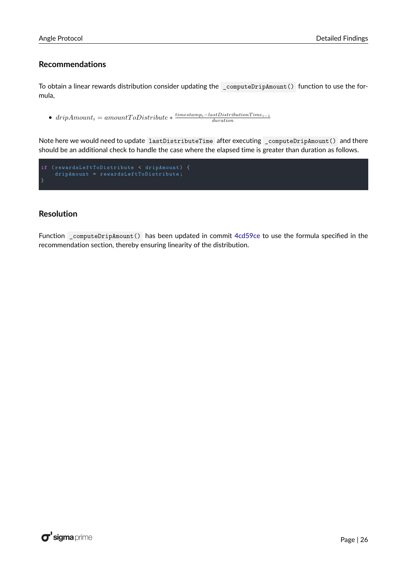#### **Recommendations**

To obtain a linear rewards distribution consider updating the \_computeDripAmount() function to use the formula,

 $\bullet$  *dripAmount<sub>i</sub>* = *amountToDistribute*  $\ast \frac{timestamp_i - lastDistributionTime_{i-1}}{duration}$ 

Note here we would need to update lastDistributeTime after executing \_computeDripAmount() and there should be an additional check to handle the case where the elapsed time is greater than duration as follows.

```
if ( rewardsLeftToDistribute < dripAmount ) {
    dripAmount = rewardsLeftToDistribute ;
}
```
#### <span id="page-26-1"></span>**Resolution**

<span id="page-26-0"></span>Function \_computeDripAmount() has been updated in commit [4cd59ce](https://github.com/AngleProtocol/angle-solidity/commit/4cd59cee5b6cfa04ca797a260b6b2fc6568495e4) to use the formula specified in the recommendation section, thereby ensuring linearity of the distribution.

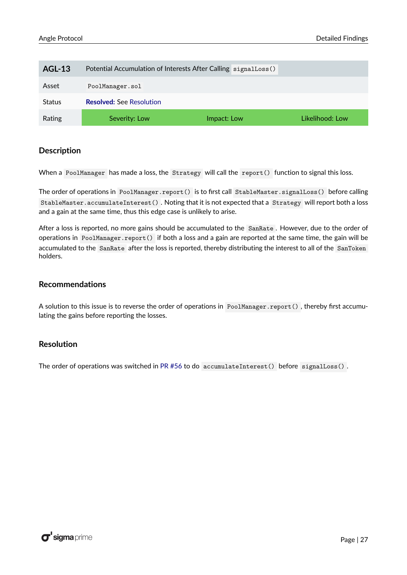| <b>AGL-13</b> | Potential Accumulation of Interests After Calling signalLoss () |             |                 |
|---------------|-----------------------------------------------------------------|-------------|-----------------|
| Asset         | PoolManager.sol                                                 |             |                 |
| <b>Status</b> | <b>Resolved: See Resolution</b>                                 |             |                 |
| Rating        | Severity: Low                                                   | Impact: Low | Likelihood: Low |

When a PoolManager has made a loss, the Strategy will call the report() function to signal this loss.

The order of operations in PoolManager.report() is to first call StableMaster.signalLoss() before calling StableMaster.accumulateInterest() . Noting that it is not expected that a Strategy will report both a loss and a gain at the same time, thus this edge case is unlikely to arise.

After a loss is reported, no more gains should be accumulated to the SanRate . However, due to the order of operations in PoolManager.report() if both a loss and a gain are reported at the same time, the gain will be accumulated to the SanRate after the loss is reported, thereby distributing the interest to all of the SanToken holders.

#### **Recommendations**

A solution to this issue is to reverse the order of operations in PoolManager.report() , thereby first accumulating the gains before reporting the losses.

#### <span id="page-27-0"></span>**Resolution**

The order of operations was switched in [PR #56](https://github.com/AngleProtocol/angle-solidity/pull/56/files) to do accumulateInterest() before signalLoss() .

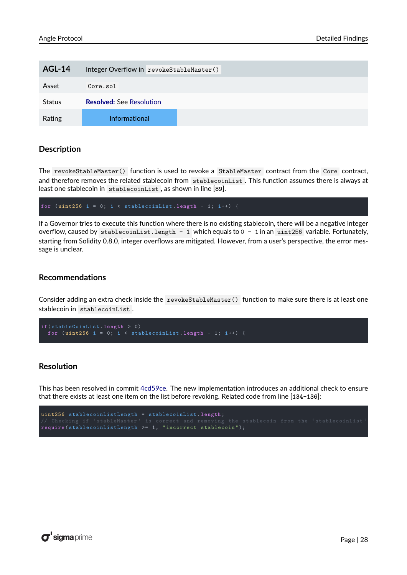<span id="page-28-0"></span>

| <b>AGL-14</b> | Integer Overflow in revokeStableMaster() |
|---------------|------------------------------------------|
| Asset         | Core.sol                                 |
| <b>Status</b> | <b>Resolved: See Resolution</b>          |
| Rating        | Informational                            |

The revokeStableMaster() function is used to revoke a StableMaster contract from the Core contract, and therefore removes the related stablecoin from stablecoinList . This function assumes there is always at least one stablecoin in stablecoinList , as shown in line [**89**].

for  $(uint256 i = 0; i < stabilecoinList.length - 1; i++)$  {

If a Governor tries to execute this function where there is no existing stablecoin, there will be a negative integer overflow, caused by stablecoinList.length - 1 which equals to 0 - 1 in an uint256 variable. Fortunately, starting from Solidity 0.8.0, integer overflows are mitigated. However, from a user's perspective, the error message is unclear.

#### **Recommendations**

Consider adding an extra check inside the revokeStableMaster() function to make sure there is at least one stablecoin in stablecoinList .

```
if( stableCoinList . length > 0)
  for (uint256 i = 0; i < stablecoinList.length - 1; i++) {
```
#### <span id="page-28-1"></span>**Resolution**

This has been resolved in commit [4cd59ce.](https://github.com/AngleProtocol/angle-solidity/commit/4cd59cee5b6cfa04ca797a260b6b2fc6568495e4) The new implementation introduces an additional check to ensure that there exists at least one item on the list before revoking. Related code from line [**134-136**]:

```
uint256 stablecoinListLength = stablecoinList . length ;
require ( stablecoinListLength >= 1, " incorrect stablecoin ");
```
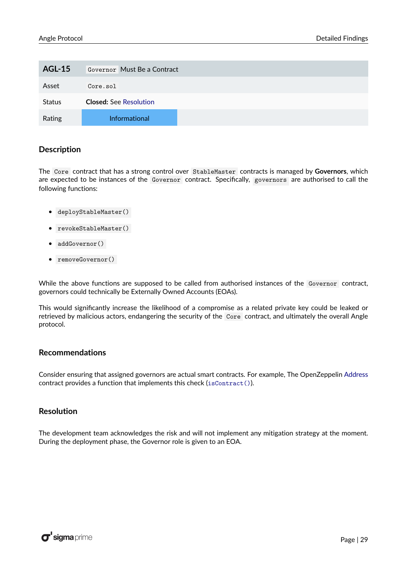<span id="page-29-0"></span>

| <b>AGL-15</b> | Governor Must Be a Contract   |
|---------------|-------------------------------|
| Asset         | Core.sol                      |
| <b>Status</b> | <b>Closed:</b> See Resolution |
| Rating        | Informational                 |

The Core contract that has a strong control over StableMaster contracts is managed by **Governors**, which are expected to be instances of the Governor contract. Specifically, governors are authorised to call the following functions:

- deployStableMaster()
- revokeStableMaster()
- addGovernor()
- removeGovernor()

While the above functions are supposed to be called from authorised instances of the Governor contract, governors could technically be Externally Owned Accounts (EOAs).

This would significantly increase the likelihood of a compromise as a related private key could be leaked or retrieved by malicious actors, endangering the security of the Core contract, and ultimately the overall Angle protocol.

#### **Recommendations**

Consider ensuring that assigned governors are actual smart contracts. For example, The OpenZeppelin [Address](https://github.com/OpenZeppelin/openzeppelin-contracts/blob/566a774222707e424896c0c390a84dc3c13bdcb2/contracts/utils/Address.sol) contract provides a function that implements this check ([isContract\(\)](https://github.com/OpenZeppelin/openzeppelin-contracts/blob/566a774222707e424896c0c390a84dc3c13bdcb2/contracts/utils/Address.sol#L26)).

#### <span id="page-29-2"></span>**Resolution**

<span id="page-29-1"></span>The development team acknowledges the risk and will not implement any mitigation strategy at the moment. During the deployment phase, the Governor role is given to an EOA.

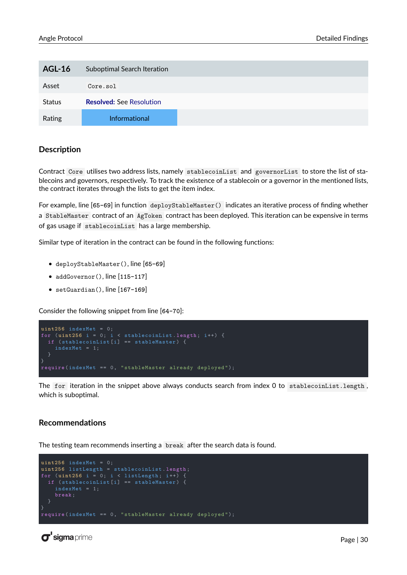| <b>AGL-16</b> | Suboptimal Search Iteration     |  |
|---------------|---------------------------------|--|
| Asset         | Core.sol                        |  |
| <b>Status</b> | <b>Resolved: See Resolution</b> |  |
| Rating        | <b>Informational</b>            |  |

Contract Core utilises two address lists, namely stablecoinList and governorList to store the list of stablecoins and governors, respectively. To track the existence of a stablecoin or a governor in the mentioned lists, the contract iterates through the lists to get the item index.

For example, line [**65-69**] in function deployStableMaster() indicates an iterative process of finding whether a StableMaster contract of an AgToken contract has been deployed. This iteration can be expensive in terms of gas usage if stablecoinList has a large membership.

Similar type of iteration in the contract can be found in the following functions:

- deployStableMaster(), line [**65-69**]
- addGovernor(), line [**115-117**]
- setGuardian(), line [**167-169**]

Consider the following snippet from line [**64-70**]:

```
uint2\overline{56} indexMet = 0;
for (uint256 i = 0; i < sublecoinList.length; i++) {
    indexMet = 1;
  }
}
require ( indexMet == 0, " stableMaster already deployed ");
```
The for iteration in the snippet above always conducts search from index 0 to stablecoinList.length, which is suboptimal.

#### **Recommendations**

The testing team recommends inserting a break after the search data is found.

```
uint256 indexMet = 0;
uint256 listLength = stablecoinList . length ;
for ( uint256 i = 0; i < listLength ; i++) {
  if ( stablecoinList [i] == stableMaster ) {
    break ;
  }
require ( indexMet == 0, " stableMaster already deployed ");
```
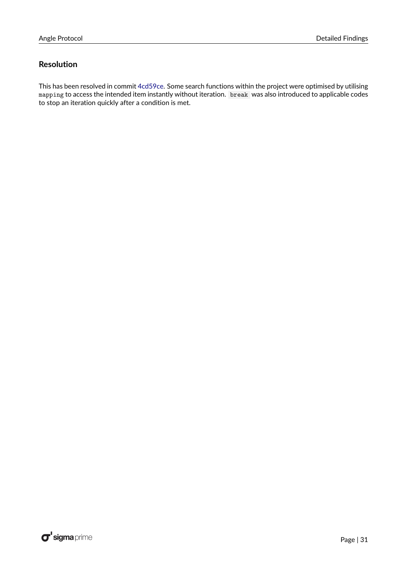#### <span id="page-31-1"></span>**Resolution**

<span id="page-31-0"></span>This has been resolved in commit [4cd59ce.](https://github.com/AngleProtocol/angle-solidity/commit/4cd59cee5b6cfa04ca797a260b6b2fc6568495e4) Some search functions within the project were optimised by utilising mapping to access the intended item instantly without iteration. break was also introduced to applicable codes to stop an iteration quickly after a condition is met.

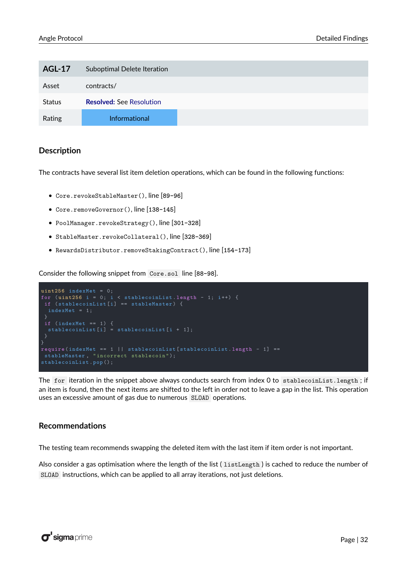| <b>AGL-17</b> | Suboptimal Delete Iteration     |  |
|---------------|---------------------------------|--|
| Asset         | contracts/                      |  |
| <b>Status</b> | <b>Resolved: See Resolution</b> |  |
| Rating        | Informational                   |  |

The contracts have several list item deletion operations, which can be found in the following functions:

- Core.revokeStableMaster(), line [**89-96**]
- Core.removeGovernor(), line [**138-145**]
- PoolManager.revokeStrategy(), line [**301-328**]
- StableMaster.revokeCollateral(), line [**328-369**]
- RewardsDistributor.removeStakingContract(), line [**154-173**]

Consider the following snippet from Core.sol line [**88-98**].

```
uint256 indexMet = 0;
for (uint256 i = 0; i < stablecoinList.length - 1; i++) {
if ( stablecoinList [i] == stableMaster ) {
 \overline{ }}
require ( indexMet == 1 || stablecoinList [ stablecoinList . length - 1] ==
stableMaster, "incorrect stablecoin");
stablecoinList.pop();
```
The for iteration in the snippet above always conducts search from index 0 to stablecoinList.length; if an item is found, then the next items are shifted to the left in order not to leave a gap in the list. This operation uses an excessive amount of gas due to numerous SLOAD operations.

#### **Recommendations**

The testing team recommends swapping the deleted item with the last item if item order is not important.

Also consider a gas optimisation where the length of the list ( listLength ) is cached to reduce the number of SLOAD instructions, which can be applied to all array iterations, not just deletions.

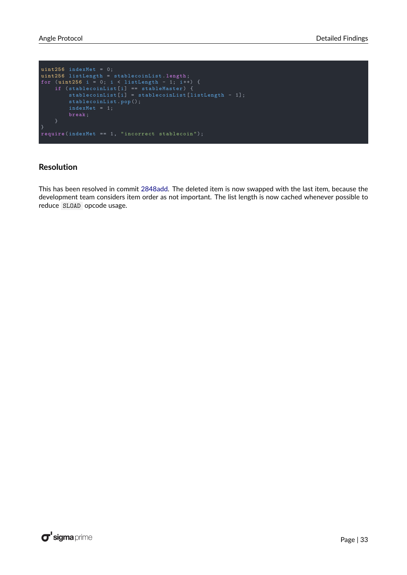```
uint256 indexMet = 0;
uint256 listLength = stablecoinList . length ;
for ( uint256 i = 0; i < listLength - 1; i ++) {
    if ( stablecoinList [i] == stableMaster ) {
         stablecoinList [i] = stablecoinList [ listLength - 1];
        stablecoinList . pop ();
}
require ( indexMet == 1, " incorrect stablecoin ");
```
#### <span id="page-33-1"></span>**Resolution**

<span id="page-33-0"></span>This has been resolved in commit [2848add.](https://github.com/AngleProtocol/angle-solidity/commit/2848add265fffcbdfa6e32a6b47121c10fe199b2) The deleted item is now swapped with the last item, because the development team considers item order as not important. The list length is now cached whenever possible to reduce SLOAD opcode usage.

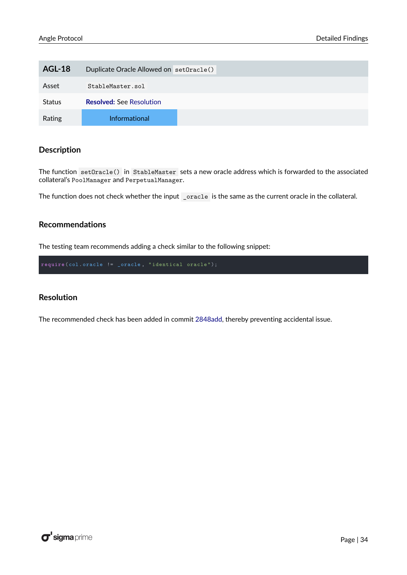| <b>AGL-18</b> | Duplicate Oracle Allowed on set0racle() |
|---------------|-----------------------------------------|
| Asset         | StableMaster.sol                        |
| <b>Status</b> | <b>Resolved: See Resolution</b>         |
| Rating        | <b>Informational</b>                    |

The function setOracle() in StableMaster sets a new oracle address which is forwarded to the associated collateral's PoolManager and PerpetualManager.

The function does not check whether the input \_oracle is the same as the current oracle in the collateral.

#### **Recommendations**

The testing team recommends adding a check similar to the following snippet:

#### <span id="page-34-1"></span>**Resolution**

<span id="page-34-0"></span>The recommended check has been added in commit [2848add,](https://github.com/AngleProtocol/angle-solidity/commit/2848add265fffcbdfa6e32a6b47121c10fe199b2) thereby preventing accidental issue.

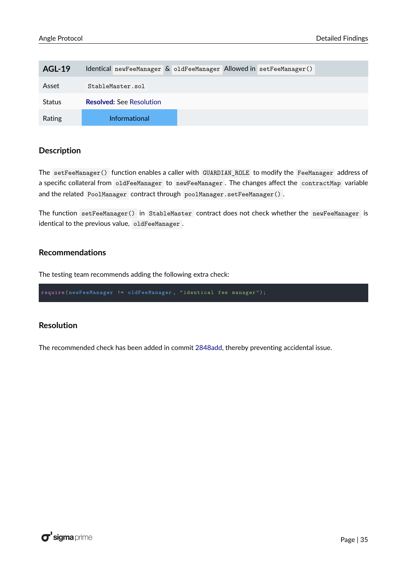| AGL-19        | Identical newFeeManager & oldFeeManager Allowed in setFeeManager() |
|---------------|--------------------------------------------------------------------|
| Asset         | StableMaster.sol                                                   |
| <b>Status</b> | <b>Resolved:</b> See Resolution                                    |
| Rating        | Informational                                                      |

The setFeeManager() function enables a caller with GUARDIAN\_ROLE to modify the FeeManager address of a specific collateral from oldFeeManager to newFeeManager . The changes affect the contractMap variable and the related PoolManager contract through poolManager.setFeeManager() .

The function setFeeManager() in StableMaster contract does not check whether the newFeeManager is identical to the previous value, oldFeeManager .

#### **Recommendations**

The testing team recommends adding the following extra check:

**require** ( newFeeManager != oldFeeManager , " identical fee manager ");

#### <span id="page-35-1"></span>**Resolution**

<span id="page-35-0"></span>The recommended check has been added in commit [2848add,](https://github.com/AngleProtocol/angle-solidity/commit/2848add265fffcbdfa6e32a6b47121c10fe199b2) thereby preventing accidental issue.

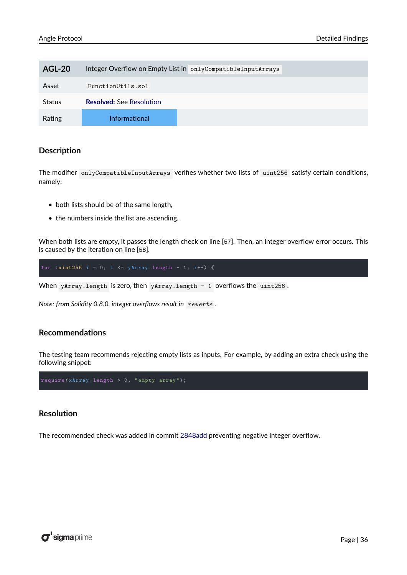| <b>AGL-20</b> | Integer Overflow on Empty List in onlyCompatibleInputArrays |
|---------------|-------------------------------------------------------------|
| Asset         | FunctionUtils.sol                                           |
| <b>Status</b> | <b>Resolved: See Resolution</b>                             |
| Rating        | Informational                                               |

The modifier onlyCompatibleInputArrays verifies whether two lists of uint256 satisfy certain conditions, namely:

- both lists should be of the same length,
- the numbers inside the list are ascending.

When both lists are empty, it passes the length check on line [**57**]. Then, an integer overflow error occurs. This is caused by the iteration on line [**58**].

for ( $uint256$  i = 0; i <=  $yArray.length - 1; i++)$  {

When yArray.length is zero, then yArray.length - 1 overflows the uint256.

*Note: from Solidity 0.8.0, integer overflows result in reverts* .

#### **Recommendations**

The testing team recommends rejecting empty lists as inputs. For example, by adding an extra check using the following snippet:

**require** ( xArray . **length** > 0, " empty array ");

#### <span id="page-36-1"></span>**Resolution**

<span id="page-36-0"></span>The recommended check was added in commit [2848add](https://github.com/AngleProtocol/angle-solidity/commit/2848add265fffcbdfa6e32a6b47121c10fe199b2) preventing negative integer overflow.

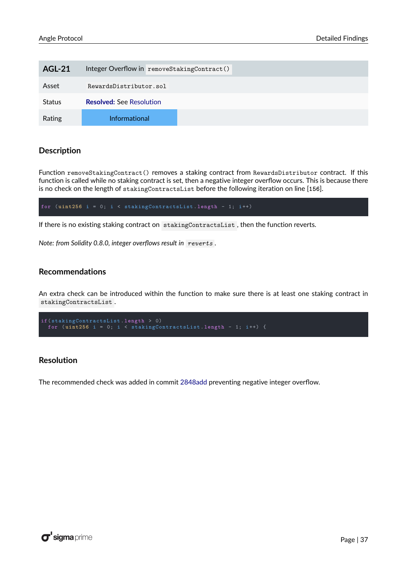| <b>AGL-21</b> | Integer Overflow in removeStakingContract() |
|---------------|---------------------------------------------|
| Asset         | RewardsDistributor.sol                      |
| <b>Status</b> | <b>Resolved: See Resolution</b>             |
| Rating        | <b>Informational</b>                        |

Function removeStakingContract() removes a staking contract from RewardsDistributor contract. If this function is called while no staking contract is set, then a negative integer overflow occurs. This is because there is no check on the length of stakingContractsList before the following iteration on line [**156**].

for  $(uint256 i = 0; i <$  stakingContractsList.length - 1; i++)

If there is no existing staking contract on stakingContractsList , then the function reverts.

*Note: from Solidity 0.8.0, integer overflows result in reverts* .

#### **Recommendations**

An extra check can be introduced within the function to make sure there is at least one staking contract in stakingContractsList .

```
if( stakingContractsList . length > 0)
 for (uint256 i = 0; i < stakingContractsList.length - 1; i++) {
```
#### <span id="page-37-1"></span>**Resolution**

<span id="page-37-0"></span>The recommended check was added in commit [2848add](https://github.com/AngleProtocol/angle-solidity/commit/2848add265fffcbdfa6e32a6b47121c10fe199b2) preventing negative integer overflow.

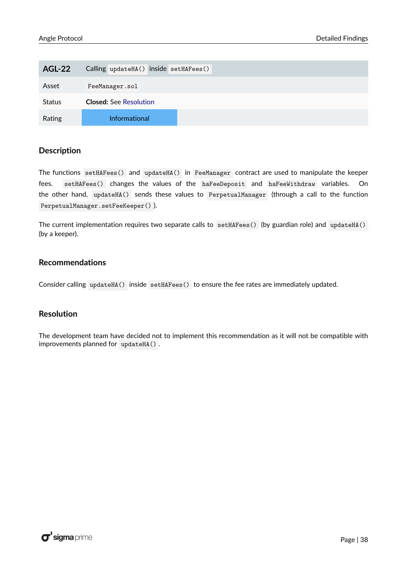| <b>AGL-22</b> | Calling updateHA() inside setHAFees() |
|---------------|---------------------------------------|
| Asset         | FeeManager.sol                        |
| <b>Status</b> | <b>Closed:</b> See Resolution         |
| Rating        | <b>Informational</b>                  |

The functions setHAFees() and updateHA() in FeeManager contract are used to manipulate the keeper fees. setHAFees() changes the values of the haFeeDeposit and haFeeWithdraw variables. On the other hand, updateHA() sends these values to PerpetualManager (through a call to the function PerpetualManager.setFeeKeeper() ).

The current implementation requires two separate calls to setHAFees() (by guardian role) and updateHA() (by a keeper).

#### **Recommendations**

Consider calling updateHA() inside setHAFees() to ensure the fee rates are immediately updated.

#### <span id="page-38-1"></span>**Resolution**

<span id="page-38-0"></span>The development team have decided not to implement this recommendation as it will not be compatible with improvements planned for updateHA() .

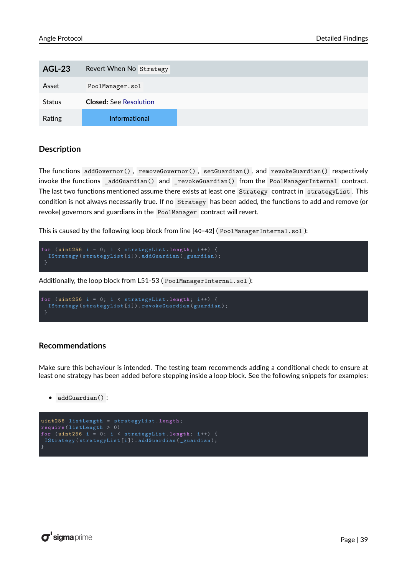| <b>AGL-23</b> | Revert When No Strategy       |
|---------------|-------------------------------|
| Asset         | PoolManager.sol               |
| <b>Status</b> | <b>Closed: See Resolution</b> |
| Rating        | Informational                 |

The functions addGovernor() , removeGovernor() , setGuardian() , and revokeGuardian() respectively invoke the functions \_addGuardian() and \_revokeGuardian() from the PoolManagerInternal contract. The last two functions mentioned assume there exists at least one Strategy contract in strategyList. This condition is not always necessarily true. If no Strategy has been added, the functions to add and remove (or revoke) governors and guardians in the PoolManager contract will revert.

This is caused by the following loop block from line [40-42] (PoolManagerInternal.sol):

```
for ( uint256 i = 0; i < strategyList . length ; i++) {
  IStrategy ( strategyList [i ]). addGuardian ( _guardian );
```
Additionally, the loop block from L51-53 ( PoolManagerInternal.sol ):

```
for (uint256 i = 0; i < strategyList. length; i++) {
  IStrategy ( strategyList [i ]). revokeGuardian ( guardian );
 }
```
#### **Recommendations**

Make sure this behaviour is intended. The testing team recommends adding a conditional check to ensure at least one strategy has been added before stepping inside a loop block. See the following snippets for examples:

• addGuardian() :

```
uint256 listLength = strategyList . length ;
require ( listLength > 0)
for ( uint256 i = 0; i < strategyList . length ; i++) {
 IStrategy ( strategyList [i ]). addGuardian ( _guardian );
}
```
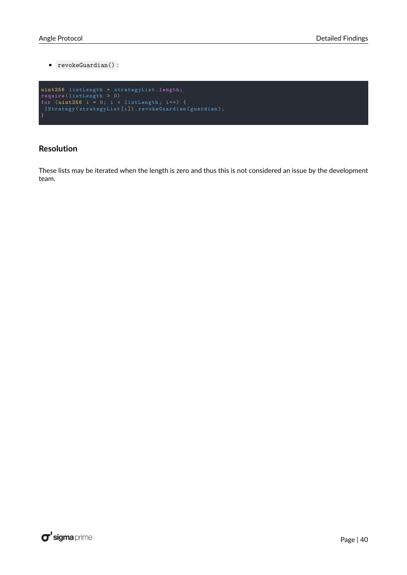• revokeGuardian() :

```
uint256 listLength = strategyList . length ;
require ( listLength > 0)
for ( uint256 i = 0; i < listLength ; i++) {
 IStrategy ( strategyList [i ]). revokeGuardian ( guardian );
}
```
#### <span id="page-40-1"></span>**Resolution**

<span id="page-40-0"></span>These lists may be iterated when the length is zero and thus this is not considered an issue by the development team.

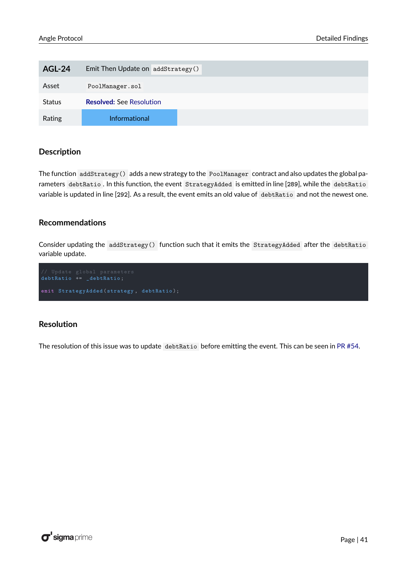| <b>AGL-24</b> | Emit Then Update on addStrategy() |
|---------------|-----------------------------------|
| Asset         | PoolManager.sol                   |
| <b>Status</b> | <b>Resolved: See Resolution</b>   |
| Rating        | <b>Informational</b>              |

The function addStrategy() adds a new strategy to the PoolManager contract and also updates the global parameters debtRatio . In this function, the event StrategyAdded is emitted in line [**289**], while the debtRatio variable is updated in line [**292**]. As a result, the event emits an old value of debtRatio and not the newest one.

#### **Recommendations**

Consider updating the addStrategy() function such that it emits the StrategyAdded after the debtRatio variable update.

```
debtRatio += _debtRatio ;
emit StrategyAdded ( strategy , debtRatio );
```
#### <span id="page-41-1"></span>**Resolution**

<span id="page-41-0"></span>The resolution of this issue was to update debtRatio before emitting the event. This can be seen in [PR #54.](https://github.com/AngleProtocol/angle-solidity/pull/54/files)

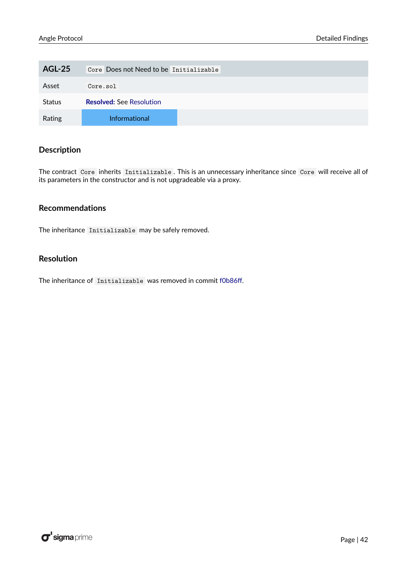| <b>AGL-25</b> | Core Does not Need to be Initializable |
|---------------|----------------------------------------|
| Asset         | Core.sol                               |
| <b>Status</b> | <b>Resolved: See Resolution</b>        |
| Rating        | <b>Informational</b>                   |

The contract Core inherits Initializable . This is an unnecessary inheritance since Core will receive all of its parameters in the constructor and is not upgradeable via a proxy.

#### **Recommendations**

The inheritance Initializable may be safely removed.

#### <span id="page-42-1"></span>**Resolution**

<span id="page-42-0"></span>The inheritance of Initializable was removed in commit [f0b86ff.](https://github.com/AngleProtocol/angle-solidity/commit/f0b86ffb6085fab3613e7d4c18ed3ea4a331f062)

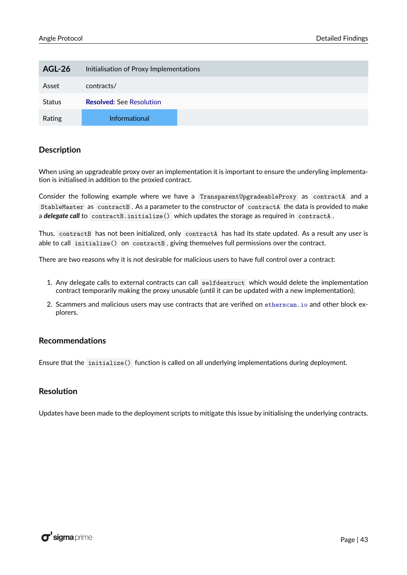| <b>AGL-26</b> | Initialisation of Proxy Implementations |
|---------------|-----------------------------------------|
| Asset         | contracts/                              |
| <b>Status</b> | <b>Resolved: See Resolution</b>         |
| Rating        | Informational                           |

When using an upgradeable proxy over an implementation it is important to ensure the underyling implementation is initialised in addition to the proxied contract.

Consider the following example where we have a TransparentUpgradeableProxy as contractA and a StableMaster as contractB . As a parameter to the constructor of contractA the data is provided to make a *delegate call* to contractB.initialize() which updates the storage as required in contractA .

Thus, contractB has not been initialized, only contractA has had its state updated. As a result any user is able to call initialize() on contractB , giving themselves full permissions over the contract.

There are two reasons why it is not desirable for malicious users to have full control over a contract:

- 1. Any delegate calls to external contracts can call selfdestruct which would delete the implementation contract temporarily making the proxy unusable (until it can be updated with a new implementation);
- 2. Scammers and malicious users may use contracts that are verified on <etherscan.io> and other block explorers.

#### **Recommendations**

Ensure that the initialize() function is called on all underlying implementations during deployment.

#### <span id="page-43-1"></span>**Resolution**

<span id="page-43-0"></span>Updates have been made to the deployment scripts to mitigate this issue by initialising the underlying contracts.

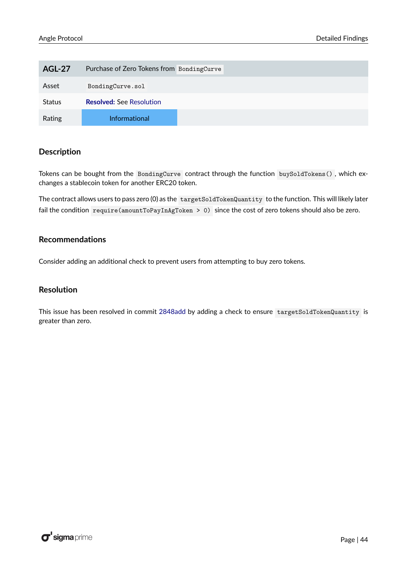| <b>AGL-27</b> | Purchase of Zero Tokens from BondingCurve |
|---------------|-------------------------------------------|
| Asset         | BondingCurve.sol                          |
| <b>Status</b> | <b>Resolved: See Resolution</b>           |
| Rating        | <b>Informational</b>                      |

Tokens can be bought from the BondingCurve contract through the function buySoldTokens() , which exchanges a stablecoin token for another ERC20 token.

The contract allows users to pass zero (0) as the targetSoldTokenQuantity to the function. This will likely later fail the condition require(amountToPayInAgToken > 0) since the cost of zero tokens should also be zero.

#### **Recommendations**

Consider adding an additional check to prevent users from attempting to buy zero tokens.

#### <span id="page-44-1"></span>**Resolution**

<span id="page-44-0"></span>This issue has been resolved in commit [2848add](https://github.com/AngleProtocol/angle-solidity/commit/2848add265fffcbdfa6e32a6b47121c10fe199b2) by adding a check to ensure targetSoldTokenQuantity is greater than zero.

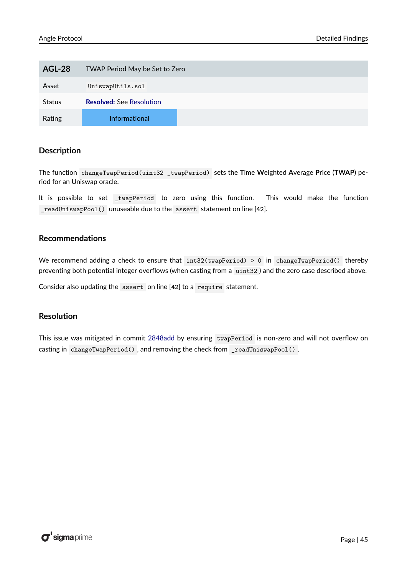| <b>AGL-28</b> | TWAP Period May be Set to Zero  |
|---------------|---------------------------------|
| Asset         | UniswapUtils.sol                |
| <b>Status</b> | <b>Resolved: See Resolution</b> |
| Rating        | <b>Informational</b>            |

The function changeTwapPeriod(uint32 \_twapPeriod) sets the **T**ime **W**eighted **A**verage **P**rice (**TWAP**) period for an Uniswap oracle.

It is possible to set twapPeriod to zero using this function. This would make the function \_readUniswapPool() unuseable due to the assert statement on line [**42**].

#### **Recommendations**

We recommend adding a check to ensure that  $int32(twapPeriod) > 0$  in changeTwapPeriod() thereby preventing both potential integer overflows (when casting from a uint32 ) and the zero case described above.

Consider also updating the assert on line [**42**] to a require statement.

#### <span id="page-45-1"></span>**Resolution**

<span id="page-45-0"></span>This issue was mitigated in commit [2848add](https://github.com/AngleProtocol/angle-solidity/commit/2848add265fffcbdfa6e32a6b47121c10fe199b2) by ensuring twapPeriod is non-zero and will not overflow on casting in changeTwapPeriod() , and removing the check from \_readUniswapPool() .

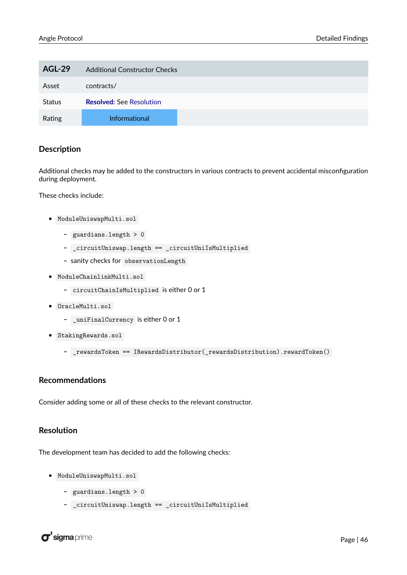| <b>AGL-29</b> | <b>Additional Constructor Checks</b> |
|---------------|--------------------------------------|
| Asset         | contracts/                           |
| <b>Status</b> | <b>Resolved: See Resolution</b>      |
| Rating        | <b>Informational</b>                 |

Additional checks may be added to the constructors in various contracts to prevent accidental misconfiguration during deployment.

These checks include:

- ModuleUniswapMulti.sol
	- **–** guardians.length > 0
	- **–** \_circuitUniswap.length == \_circuitUniIsMultiplied
	- **–** sanity checks for observationLength
- ModuleChainlinkMulti.sol
	- **–** circuitChainIsMultiplied is either 0 or 1
- OracleMulti.sol
	- **–** \_uniFinalCurrency is either 0 or 1
- StakingRewards.sol
	- **–** \_rewardsToken == IRewardsDistributor(\_rewardsDistribution).rewardToken()

#### **Recommendations**

Consider adding some or all of these checks to the relevant constructor.

#### <span id="page-46-0"></span>**Resolution**

The development team has decided to add the following checks:

- ModuleUniswapMulti.sol
	- **–** guardians.length > 0
	- **–** \_circuitUniswap.length == \_circuitUniIsMultiplied

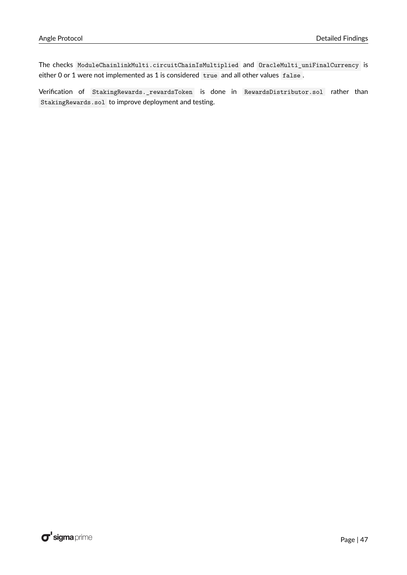The checks ModuleChainlinkMulti.circuitChainIsMultiplied and OracleMulti\_uniFinalCurrency is either 0 or 1 were not implemented as 1 is considered true and all other values false .

<span id="page-47-0"></span>Verification of StakingRewards.\_rewardsToken is done in RewardsDistributor.sol rather than StakingRewards.sol to improve deployment and testing.

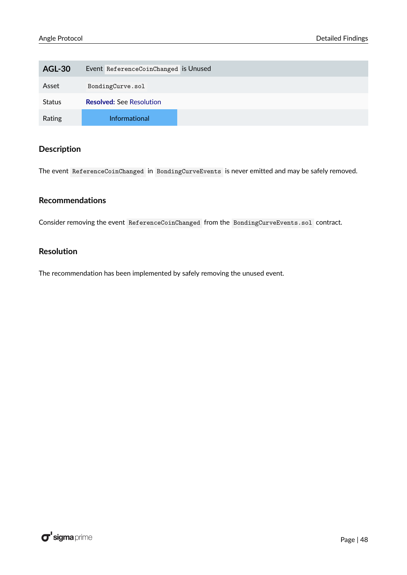| <b>AGL-30</b> | Event ReferenceCoinChanged is Unused |
|---------------|--------------------------------------|
| Asset         | BondingCurve.sol                     |
| <b>Status</b> | <b>Resolved: See Resolution</b>      |
| Rating        | <b>Informational</b>                 |

The event ReferenceCoinChanged in BondingCurveEvents is never emitted and may be safely removed.

#### **Recommendations**

Consider removing the event ReferenceCoinChanged from the BondingCurveEvents.sol contract.

#### <span id="page-48-0"></span>**Resolution**

The recommendation has been implemented by safely removing the unused event.

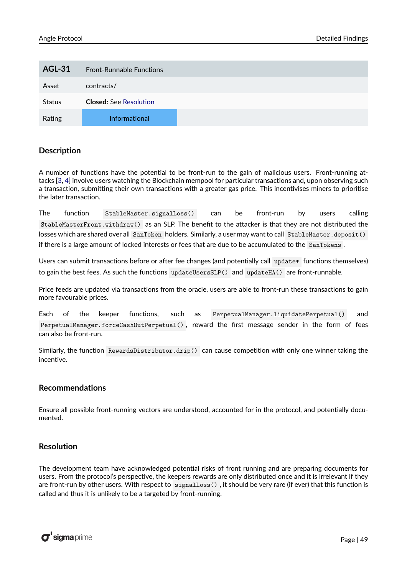<span id="page-49-0"></span>

| <b>AGL-31</b> | <b>Front-Runnable Functions</b> |  |
|---------------|---------------------------------|--|
| Asset         | contracts/                      |  |
| <b>Status</b> | <b>Closed:</b> See Resolution   |  |
| Rating        | <b>Informational</b>            |  |

A number of functions have the potential to be front-run to the gain of malicious users. Front-running attacks [\[3,](#page-66-3) [4\]](#page-66-4) involve users watching the Blockchain mempool for particular transactions and, upon observing such a transaction, submitting their own transactions with a greater gas price. This incentivises miners to prioritise the later transaction.

The function StableMaster.signalLoss() can be front-run by users calling StableMasterFront.withdraw() as an SLP. The benefit to the attacker is that they are not distributed the losses which are shared over all SanToken holders. Similarly, a user may want to call StableMaster.deposit() if there is a large amount of locked interests or fees that are due to be accumulated to the SanTokens .

Users can submit transactions before or after fee changes (and potentially call update\* functions themselves) to gain the best fees. As such the functions updateUsersSLP() and updateHA() are front-runnable.

Price feeds are updated via transactions from the oracle, users are able to front-run these transactions to gain more favourable prices.

Each of the keeper functions, such as PerpetualManager.liquidatePerpetual() and PerpetualManager.forceCashOutPerpetual() , reward the first message sender in the form of fees can also be front-run.

Similarly, the function RewardsDistributor.drip() can cause competition with only one winner taking the incentive.

#### **Recommendations**

Ensure all possible front-running vectors are understood, accounted for in the protocol, and potentially documented.

#### <span id="page-49-2"></span>**Resolution**

<span id="page-49-1"></span>The development team have acknowledged potential risks of front running and are preparing documents for users. From the protocol's perspective, the keepers rewards are only distributed once and it is irrelevant if they are front-run by other users. With respect to signalLoss(), it should be very rare (if ever) that this function is called and thus it is unlikely to be a targeted by front-running.

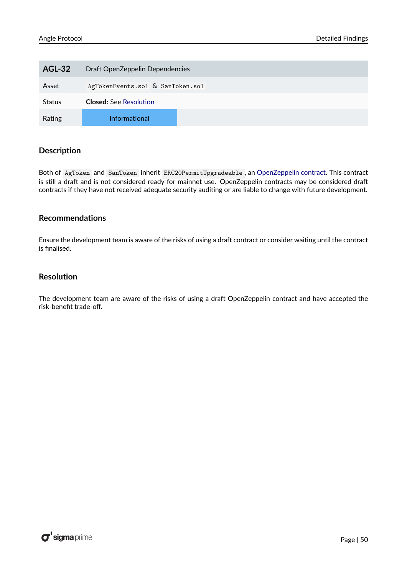| <b>AGL-32</b> | Draft OpenZeppelin Dependencies  |
|---------------|----------------------------------|
| Asset         | AgTokenEvents.sol & SanToken.sol |
| <b>Status</b> | <b>Closed:</b> See Resolution    |
| Rating        | <b>Informational</b>             |

Both of AgToken and SanToken inherit ERC20PermitUpgradeable , an [OpenZeppelin contract.](https://github.com/OpenZeppelin/openzeppelin-contracts-upgradeable/blob/master/contracts/token/ERC20/extensions/draft-ERC20PermitUpgradeable.sol) This contract is still a draft and is not considered ready for mainnet use. OpenZeppelin contracts may be considered draft contracts if they have not received adequate security auditing or are liable to change with future development.

#### **Recommendations**

Ensure the development team is aware of the risks of using a draft contract or consider waiting until the contract is finalised.

#### <span id="page-50-1"></span>**Resolution**

<span id="page-50-0"></span>The development team are aware of the risks of using a draft OpenZeppelin contract and have accepted the risk-benefit trade-off.

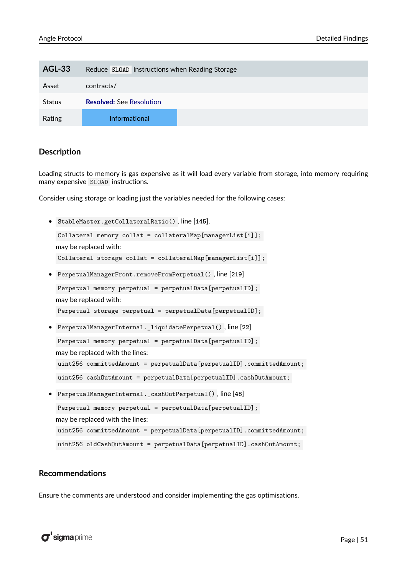| <b>AGL-33</b> | Reduce SLOAD Instructions when Reading Storage |
|---------------|------------------------------------------------|
| Asset         | contracts/                                     |
| <b>Status</b> | <b>Resolved: See Resolution</b>                |
| Rating        | <b>Informational</b>                           |

Loading structs to memory is gas expensive as it will load every variable from storage, into memory requiring many expensive SLOAD instructions.

Consider using storage or loading just the variables needed for the following cases:

• StableMaster.getCollateralRatio() , line [**145**],

```
Collateral memory collat = collateralMap[managerList[i]];
may be replaced with:
Collateral storage collat = collateralMap[managerList[i]];
```
- PerpetualManagerFront.removeFromPerpetual() , line [**219**]
- Perpetual memory perpetual = perpetualData[perpetualID]; may be replaced with:
- Perpetual storage perpetual = perpetualData[perpetualID];
- PerpetualManagerInternal.\_liquidatePerpetual() , line [**22**]

Perpetual memory perpetual = perpetualData[perpetualID];

may be replaced with the lines:

uint256 committedAmount = perpetualData[perpetualID].committedAmount;

uint256 cashOutAmount = perpetualData[perpetualID].cashOutAmount;

• PerpetualManagerInternal.\_cashOutPerpetual() , line [**48**] Perpetual memory perpetual = perpetualData[perpetualID]; may be replaced with the lines: uint256 committedAmount = perpetualData[perpetualID].committedAmount; uint256 oldCashOutAmount = perpetualData[perpetualID].cashOutAmount;

#### **Recommendations**

Ensure the comments are understood and consider implementing the gas optimisations.

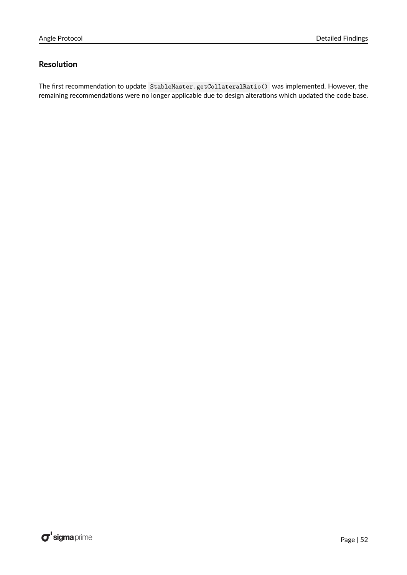#### <span id="page-52-0"></span>**Resolution**

The first recommendation to update StableMaster.getCollateralRatio() was implemented. However, the remaining recommendations were no longer applicable due to design alterations which updated the code base.

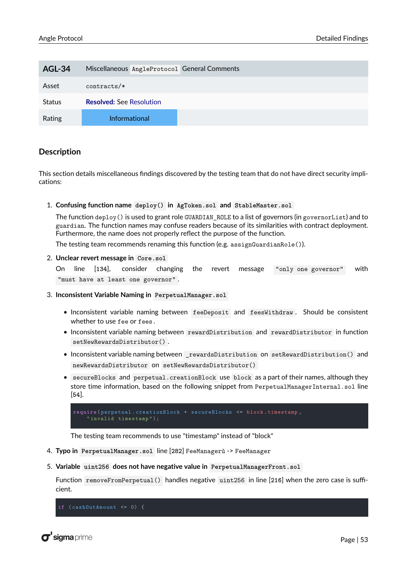<span id="page-53-0"></span>

| <b>AGL-34</b> | Miscellaneous AngleProtocol General Comments |
|---------------|----------------------------------------------|
| Asset         | $contracts/*$                                |
| <b>Status</b> | <b>Resolved: See Resolution</b>              |
| Rating        | <b>Informational</b>                         |

This section details miscellaneous findings discovered by the testing team that do not have direct security implications:

1. **Confusing function name deploy() in AgToken.sol and StableMaster.sol**

The function deploy() is used to grant role GUARDIAN\_ROLE to a list of governors (in governorList) and to guardian. The function names may confuse readers because of its similarities with contract deployment. Furthermore, the name does not properly reflect the purpose of the function.

The testing team recommends renaming this function (e.g. assignGuardianRole()).

#### 2. **Unclear revert message in Core.sol**

On line [**134**], consider changing the revert message "only one governor" with "must have at least one governor" .

- 3. **Inconsistent Variable Naming in PerpetualManager.sol**
	- Inconsistent variable naming between feeDeposit and feesWithdraw . Should be consistent whether to use fee or fees.
	- Inconsistent variable naming between rewardDistribution and rewardDistributor in function setNewRewardsDistributor() .
	- Inconsistent variable naming between \_rewardsDistribution on setRewardDistribution() and newRewardsDistributor on setNewRewardsDistributor()
	- secureBlocks and perpetual.creationBlock use block as a part of their names, although they store time information, based on the following snippet from PerpetualManagerInternal.sol line [**54**].

```
require ( perpetual . creationBlock + secureBlocks <= block . timestamp ,
    " invalid timestamp ");
```
The testing team recommends to use "timestamp" instead of "block"

- 4. **Typo in PerpetualManager.sol** line [**282**] FeeManagerù -> FeeManager
- 5. **Variable uint256 does not have negative value in PerpetualManagerFront.sol**

Function removeFromPerpetual() handles negative uint256 in line [**216**] when the zero case is sufficient.

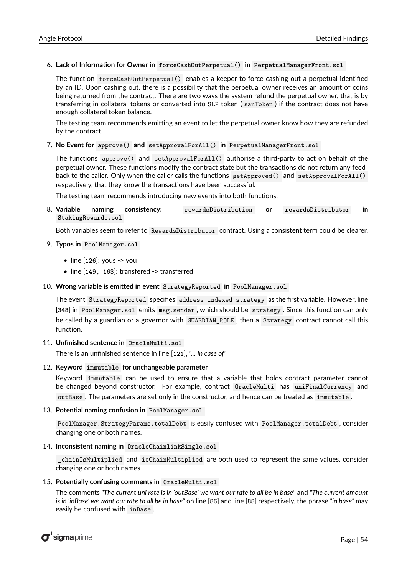#### 6. **Lack of Information for Owner in forceCashOutPerpetual() in PerpetualManagerFront.sol**

The function forceCashOutPerpetual() enables a keeper to force cashing out a perpetual identified by an ID. Upon cashing out, there is a possibility that the perpetual owner receives an amount of coins being returned from the contract. There are two ways the system refund the perpetual owner, that is by transferring in collateral tokens or converted into SLP token ( sanToken ) if the contract does not have enough collateral token balance.

The testing team recommends emitting an event to let the perpetual owner know how they are refunded by the contract.

#### 7. **No Event for approve() and setApprovalForAll() in PerpetualManagerFront.sol**

The functions approve() and setApprovalForAll() authorise a third-party to act on behalf of the perpetual owner. These functions modify the contract state but the transactions do not return any feedback to the caller. Only when the caller calls the functions getApproved() and setApprovalForAll() respectively, that they know the transactions have been successful.

The testing team recommends introducing new events into both functions.

8. **Variable naming consistency: rewardsDistribution or rewardsDistributor in StakingRewards.sol**

Both variables seem to refer to RewardsDistributor contract. Using a consistent term could be clearer.

#### 9. **Typos in PoolManager.sol**

- line [**126**]: yous -> you
- line [**149, 163**]: transfered -> transferred

#### 10. **Wrong variable is emitted in event StrategyReported in PoolManager.sol**

The event StrategyReported specifies address indexed strategy as the first variable. However, line [**348**] in PoolManager.sol emits msg.sender , which should be strategy . Since this function can only be called by a guardian or a governor with GUARDIAN ROLE, then a Strategy contract cannot call this function.

#### 11. **Unfinished sentence in OracleMulti.sol**

There is an unfinished sentence in line [**121**], *"... in case of"*

#### 12. **Keyword immutable for unchangeable parameter**

Keyword immutable can be used to ensure that a variable that holds contract parameter cannot be changed beyond constructor. For example, contract OracleMulti has uniFinalCurrency and outBase . The parameters are set only in the constructor, and hence can be treated as immutable .

#### 13. **Potential naming confusion in PoolManager.sol**

PoolManager.StrategyParams.totalDebt is easily confused with PoolManager.totalDebt , consider changing one or both names.

#### 14. **Inconsistent naming in OracleChainlinkSingle.sol**

\_chainIsMultiplied and isChainMultiplied are both used to represent the same values, consider changing one or both names.

#### 15. **Potentially confusing comments in OracleMulti.sol**

The comments *"The current uni rate is in 'outBase' we want our rate to all be in base"* and *"The current amount is in 'inBase' we want our rate to all be in base"* on line [**86**] and line [**88**] respectively, the phrase *"in base"* may easily be confused with inBase .

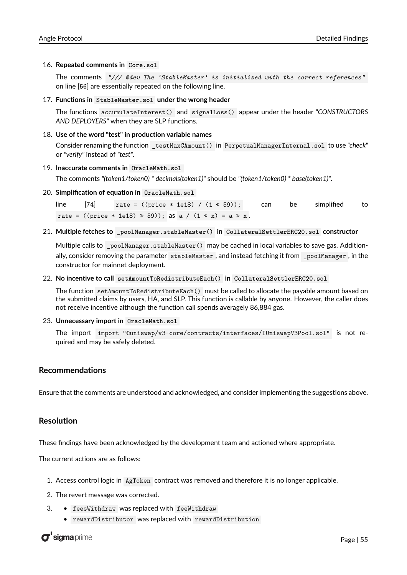#### 16. **Repeated comments in Core.sol**

The comments *"/// @dev The 'StableMaster' is initialized with the correct references"* on line [**56**] are essentially repeated on the following line.

#### 17. **Functions in StableMaster.sol under the wrong header**

The functions accumulateInterest() and signalLoss() appear under the header *"CONSTRUCTORS AND DEPLOYERS"* when they are SLP functions.

#### 18. **Use of the word "test" in production variable names**

Consider renaming the function \_testMaxCAmount() in PerpetualManagerInternal.sol to use *"check"* or *"verify"* instead of *"test"*.

#### 19. **Inaccurate comments in OracleMath.sol**

The comments *"(token1/token0) \* decimals(token1)"* should be *"(token1/token0) \* base(token1)"*.

20. **Simplification of equation in OracleMath.sol**

 $line \$  [74]  $rate = ((price * 1e18) / (1 * 59));$  can be simplified to rate = ((price \* 1e18)  $\gg$  59)); as a / (1  $\ll$  x) = a  $\gg$  x.

21. **Multiple fetches to \_poolManager.stableMaster() in CollateralSettlerERC20.sol constructor**

Multiple calls to \_poolManager.stableMaster() may be cached in local variables to save gas. Additionally, consider removing the parameter stableMaster , and instead fetching it from \_poolManager , in the constructor for mainnet deployment.

22. **No incentive to call setAmountToRedistributeEach() in CollateralSettlerERC20.sol**

The function setAmountToRedistributeEach() must be called to allocate the payable amount based on the submitted claims by users, HA, and SLP. This function is callable by anyone. However, the caller does not receive incentive although the function call spends averagely 86,884 gas.

23. **Unnecessary import in OracleMath.sol**

The import import "@uniswap/v3-core/contracts/interfaces/IUniswapV3Pool.sol" is not required and may be safely deleted.

#### **Recommendations**

Ensure that the comments are understood and acknowledged, and consider implementing the suggestions above.

#### <span id="page-55-0"></span>**Resolution**

These findings have been acknowledged by the development team and actioned where appropriate.

The current actions are as follows:

- 1. Access control logic in AgToken contract was removed and therefore it is no longer applicable.
- 2. The revert message was corrected.
- 3. feesWithdraw was replaced with feeWithdraw
	- rewardDistributor was replaced with rewardDistribution

 $\sigma$ 'sigma prime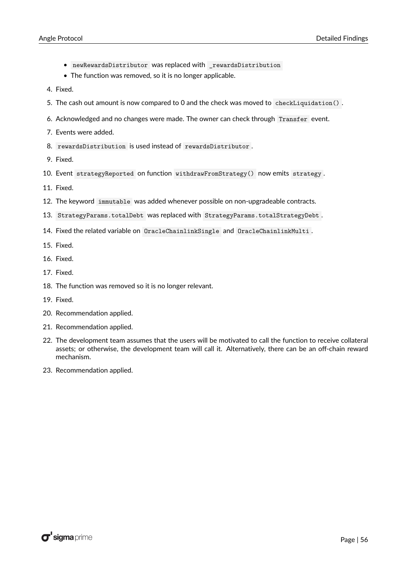- newRewardsDistributor was replaced with rewardsDistribution
- The function was removed, so it is no longer applicable.
- 4. Fixed.
- 5. The cash out amount is now compared to 0 and the check was moved to checkLiquidation() .
- 6. Acknowledged and no changes were made. The owner can check through Transfer event.
- 7. Events were added.
- 8. rewardsDistribution is used instead of rewardsDistributor .
- 9. Fixed.
- 10. Event strategyReported on function withdrawFromStrategy() now emits strategy .
- 11. Fixed.
- 12. The keyword immutable was added whenever possible on non-upgradeable contracts.
- 13. StrategyParams.totalDebt was replaced with StrategyParams.totalStrategyDebt .
- 14. Fixed the related variable on OracleChainlinkSingle and OracleChainlinkMulti .
- 15. Fixed.
- 16. Fixed.
- 17. Fixed.
- 18. The function was removed so it is no longer relevant.
- 19. Fixed.
- 20. Recommendation applied.
- 21. Recommendation applied.
- 22. The development team assumes that the users will be motivated to call the function to receive collateral assets; or otherwise, the development team will call it. Alternatively, there can be an off-chain reward mechanism.
- 23. Recommendation applied.

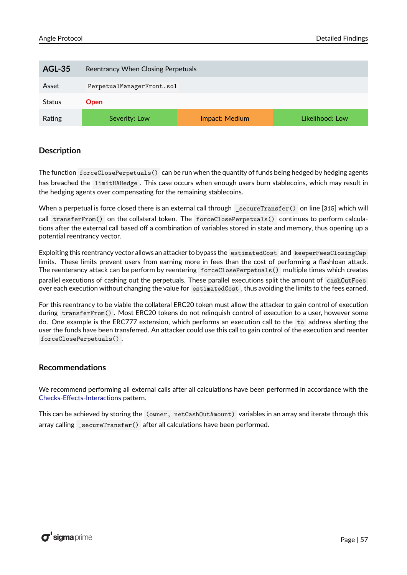<span id="page-57-0"></span>

| <b>AGL-35</b> | Reentrancy When Closing Perpetuals |                |                 |  |
|---------------|------------------------------------|----------------|-----------------|--|
| Asset         | PerpetualManagerFront.sol          |                |                 |  |
| <b>Status</b> | <b>Open</b>                        |                |                 |  |
| Rating        | Severity: Low                      | Impact: Medium | Likelihood: Low |  |

The function forceClosePerpetuals() can be run when the quantity of funds being hedged by hedging agents has breached the limitHAHedge . This case occurs when enough users burn stablecoins, which may result in the hedging agents over compensating for the remaining stablecoins.

When a perpetual is force closed there is an external call through \_secureTransfer() on line [**315**] which will call transferFrom() on the collateral token. The forceClosePerpetuals() continues to perform calculations after the external call based off a combination of variables stored in state and memory, thus opening up a potential reentrancy vector.

Exploiting this reentrancy vector allows an attacker to bypass the estimatedCost and keeperFeesClosingCap limits. These limits prevent users from earning more in fees than the cost of performing a flashloan attack. The reenterancy attack can be perform by reentering forceClosePerpetuals() multiple times which creates parallel executions of cashing out the perpetuals. These parallel executions split the amount of cashOutFees over each execution without changing the value for estimatedCost , thus avoiding the limits to the fees earned.

For this reentrancy to be viable the collateral ERC20 token must allow the attacker to gain control of execution during transferFrom() . Most ERC20 tokens do not relinquish control of execution to a user, however some do. One example is the ERC777 extension, which performs an execution call to the to address alerting the user the funds have been transferred. An attacker could use this call to gain control of the execution and reenter forceClosePerpetuals() .

#### **Recommendations**

We recommend performing all external calls after all calculations have been performed in accordance with the [Checks-Effects-Interactions](https://docs.soliditylang.org/en/v0.8.7/security-considerations.html#use-the-checks-effects-interactions-pattern) pattern.

<span id="page-57-1"></span>This can be achieved by storing the (owner, netCashOutAmount) variables in an array and iterate through this array calling \_secureTransfer() after all calculations have been performed.

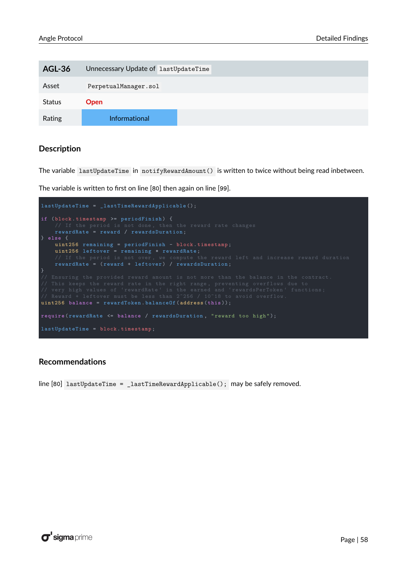| <b>AGL-36</b> | Unnecessary Update of lastUpdateTime |
|---------------|--------------------------------------|
| Asset         | PerpetualManager.sol                 |
| <b>Status</b> | <b>Open</b>                          |
| Rating        | <b>Informational</b>                 |

The variable lastUpdateTime in notifyRewardAmount() is written to twice without being read inbetween.

The variable is written to first on line [**80**] then again on line [**99**].

```
lastUpdateTime = _lastTimeRewardApplicable ();
     rewardRate = reward / rewardsDuration ;
} else {
    uint256 remaining = periodFinish - block . timestamp ;
    uint256 leftover = remaining * rewardRate;<br>// If the period is not over, we compute the
}
uint256 balance = rewardToken . balanceOf ( address ( this ));
require (rewardRate <= balance / rewardsDuration, "reward too high");
```
#### **Recommendations**

<span id="page-58-0"></span>line [**80**] lastUpdateTime = \_lastTimeRewardApplicable(); may be safely removed.

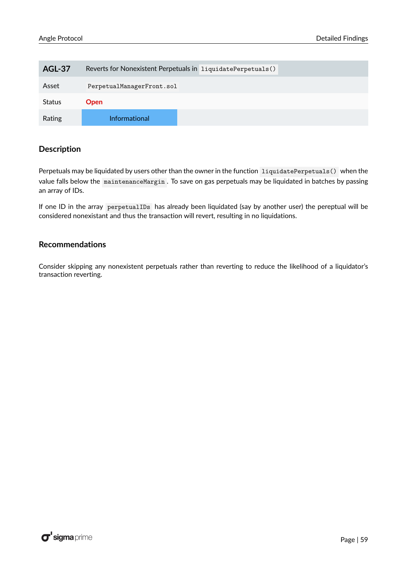| <b>AGL-37</b> | Reverts for Nonexistent Perpetuals in liquidatePerpetuals() |
|---------------|-------------------------------------------------------------|
| Asset         | PerpetualManagerFront.sol                                   |
| <b>Status</b> | <b>Open</b>                                                 |
| Rating        | <b>Informational</b>                                        |

Perpetuals may be liquidated by users other than the owner in the function liquidatePerpetuals() when the value falls below the maintenanceMargin . To save on gas perpetuals may be liquidated in batches by passing an array of IDs.

If one ID in the array perpetualIDs has already been liquidated (say by another user) the pereptual will be considered nonexistant and thus the transaction will revert, resulting in no liquidations.

#### **Recommendations**

<span id="page-59-0"></span>Consider skipping any nonexistent perpetuals rather than reverting to reduce the likelihood of a liquidator's transaction reverting.

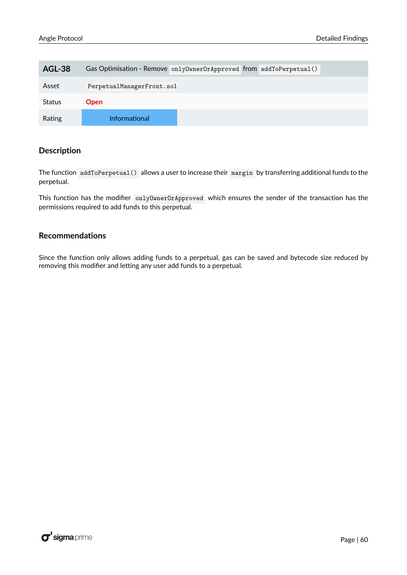| <b>AGL-38</b> | Gas Optimisation - Remove onlyOwnerOrApproved from addToPerpetual() |
|---------------|---------------------------------------------------------------------|
| Asset         | PerpetualManagerFront.sol                                           |
| Status        | Open                                                                |
| Rating        | <b>Informational</b>                                                |

The function addToPerpetual() allows a user to increase their margin by transferring additional funds to the perpetual.

This function has the modifier onlyOwnerOrApproved which ensures the sender of the transaction has the permissions required to add funds to this perpetual.

#### **Recommendations**

<span id="page-60-0"></span>Since the function only allows adding funds to a perpetual, gas can be saved and bytecode size reduced by removing this modifier and letting any user add funds to a perpetual.

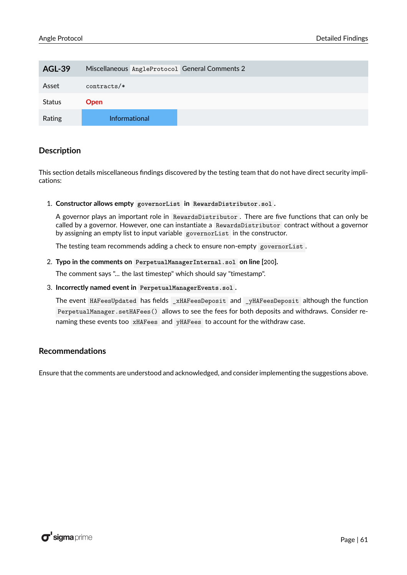| <b>AGL-39</b> | Miscellaneous AngleProtocol General Comments 2 |
|---------------|------------------------------------------------|
| Asset         | $contracts/*$                                  |
| <b>Status</b> | <b>Open</b>                                    |
| Rating        | <b>Informational</b>                           |

This section details miscellaneous findings discovered by the testing team that do not have direct security implications:

1. **Constructor allows empty governorList in RewardsDistributor.sol .**

A governor plays an important role in RewardsDistributor . There are five functions that can only be called by a governor. However, one can instantiate a RewardsDistributor contract without a governor by assigning an empty list to input variable governorList in the constructor.

The testing team recommends adding a check to ensure non-empty governorList.

#### 2. **Typo in the comments on PerpetualManagerInternal.sol on line [200].**

The comment says "... the last timestep" which should say "timestamp".

3. **Incorrectly named event in PerpetualManagerEvents.sol .**

The event HAFeesUpdated has fields \_xHAFeesDeposit and \_yHAFeesDeposit although the function PerpetualManager.setHAFees() allows to see the fees for both deposits and withdraws. Consider renaming these events too xHAFees and yHAFees to account for the withdraw case.

#### **Recommendations**

Ensure that the comments are understood and acknowledged, and consider implementing the suggestions above.

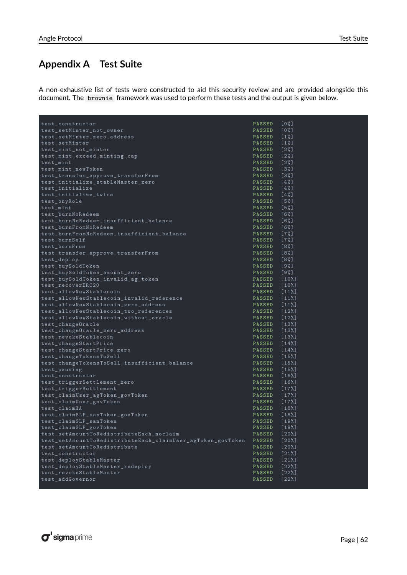## <span id="page-62-0"></span>**Appendix A Test Suite**

A non-exhaustive list of tests were constructed to aid this security review and are provided alongside this document. The brownie framework was used to perform these tests and the output is given below.

| test_constructor                                            | PASSED        | [0%]     |
|-------------------------------------------------------------|---------------|----------|
| test_setMinter_not_owner                                    | PASSED        | [0%]     |
| test_setMinter_zero_address                                 | PASSED        | $[1\%]$  |
| test_setMinter                                              | PASSED [1%]   |          |
| test_mint_not_minter                                        | PASSED [2%]   |          |
| test_mint_exceed_minting_cap                                | PASSED [2%]   |          |
| test_mint                                                   | PASSED [2%]   |          |
| test_mint_newToken                                          | PASSED        | [3%]     |
| test_transfer_approve_transferFrom                          | PASSED [3%]   |          |
| test_initialize_stableMaster_zero                           | PASSED [4%]   |          |
| test_initialize                                             | PASSED [4%]   |          |
| test initialize twice                                       | PASSED [4%]   |          |
| test_onyRole                                                | PASSED [5%]   |          |
| test_mint                                                   | PASSED [5%]   |          |
| test_burnNoRedeem                                           | PASSED [6%]   |          |
| test_burnNoRedeem_insufficient_balance                      | PASSED [6%]   |          |
| test_burnFromNoRedeem                                       | PASSED        | [6%]     |
| test_burnFromNoRedeem_insufficient_balance                  | PASSED [7%]   |          |
| test_burnSelf                                               | PASSED [7%]   |          |
| test_burnFrom                                               | PASSED [8%]   |          |
| test_transfer_approve_transferFrom                          | PASSED [8%]   |          |
| test_deploy                                                 | PASSED [8%]   |          |
| test_buySoldToken                                           | PASSED [9%]   |          |
| test_buySoldToken_amount_zero                               | PASSED [9%]   |          |
| test_buySoldToken_invalid_ag_token                          | PASSED [10%]  |          |
| test_recoverERC20                                           | PASSED [10%]  |          |
| test_allowNewStablecoin                                     | PASSED [11%]  |          |
| test_allowNewStablecoin_invalid_reference                   | PASSED [11%]  |          |
| test_allowNewStablecoin_zero_address                        | PASSED [11%]  |          |
| test_allowNewStablecoin_two_references                      | PASSED [12%]  |          |
| test_allowNewStablecoin_without_oracle                      | PASSED [12%]  |          |
| test_change0racle                                           | PASSED [13%]  |          |
| test_change0racle_zero_address                              | PASSED [13%]  |          |
| test_revokeStablecoin                                       | PASSED [13%]  |          |
| test_changeStartPrice                                       | PASSED [14%]  |          |
| test_changeStartPrice_zero                                  | PASSED [14%]  |          |
| test_changeTokensToSell                                     | PASSED [15%]  |          |
| test_changeTokensToSell_insufficient_balance                | PASSED [15%]  |          |
| test_pausing                                                | PASSED [15%]  |          |
| test_constructor                                            | PASSED [16%]  |          |
| test_triggerSettlement_zero                                 | PASSED [16%]  |          |
| test_triggerSettlement                                      | PASSED [17%]  |          |
| test_claimUser_agToken_govToken                             | PASSED [17%]  |          |
| test_claimUser_govToken                                     | PASSED [17%]  |          |
| test claimHA                                                | PASSED [18%]  |          |
| test_claimSLP_sanToken_govToken                             | PASSED [18%]  |          |
| test claimSLP sanToken                                      | PASSED [19%]  |          |
| test_claimSLP_govToken                                      | <b>PASSED</b> | [19%]    |
| test_setAmountToRedistributeEach_noclaim                    | <b>PASSED</b> | $[20\%]$ |
| test_setAmountToRedistributeEach_claimUser_agToken_govToken | <b>PASSED</b> | [20%]    |
| test_setAmountToRedistribute                                | <b>PASSED</b> | [20%]    |
| test_constructor                                            | <b>PASSED</b> | $[21%]$  |
| test_deployStableMaster                                     | <b>PASSED</b> | $[21%]$  |
| test_deployStableMaster_redeploy                            | PASSED        | $[22\%]$ |
| test_revokeStableMaster                                     | <b>PASSED</b> | [22%]    |
| test_addGovernor                                            | <b>PASSED</b> | [22%]    |

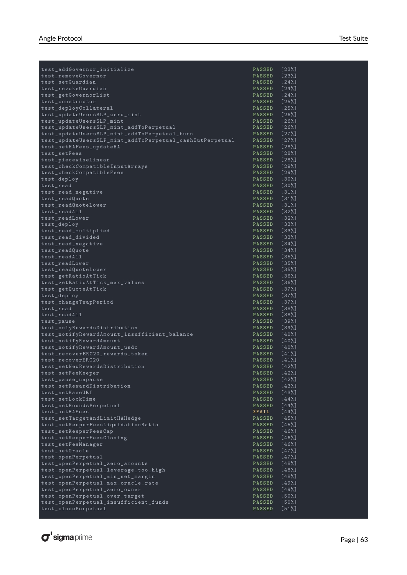| test_addGovernor_initialize                              | PASSED       | $[23%]$ |
|----------------------------------------------------------|--------------|---------|
| test_removeGovernor                                      | PASSED       | [23%]   |
| test_setGuardian                                         | PASSED       | [24%]   |
| test_revokeGuardian                                      | PASSED [24%] |         |
| test_getGovernorList                                     | PASSED [24%] |         |
| test_constructor                                         | PASSED [25%] |         |
| test_deployCollateral                                    | PASSED [25%] |         |
| test_updateUsersSLP_zero_mint                            | PASSED [26%] |         |
| test_updateUsersSLP_mint                                 | PASSED [26%] |         |
| test_updateUsersSLP_mint_addToPerpetual                  | PASSED [26%] |         |
|                                                          |              |         |
| test_updateUsersSLP_mint_addToPerpetual_burn             | PASSED [27%] |         |
| test_updateUsersSLP_mint_addToPerpetual_cashOutPerpetual | PASSED       | [27%]   |
| test_setHAFees_updateHA                                  | PASSED [28%] |         |
| test_setFees                                             | PASSED [28%] |         |
| test piecewiseLinear                                     | PASSED [28%] |         |
| test_checkCompatibleInputArrays                          | PASSED [29%] |         |
| test_checkCompatibleFees                                 | PASSED       | [29%]   |
| test_deploy                                              | PASSED [30%] |         |
| test_read                                                | PASSED [30%] |         |
| test_read_negative                                       | PASSED [31%] |         |
| test_readQuote                                           | PASSED [31%] |         |
| test readQuoteLower                                      | PASSED [31%] |         |
| test_readAll                                             | PASSED [32%] |         |
| test readLower                                           | PASSED [32%] |         |
| test_deploy                                              | PASSED [33%] |         |
| test_read_multiplied                                     | PASSED [33%] |         |
|                                                          |              |         |
| test_read_divided                                        | PASSED [33%] |         |
| test_read_negative                                       | PASSED [34%] |         |
| test readQuote                                           | PASSED [34%] |         |
| test_readAll                                             | PASSED [35%] |         |
| test_readLower                                           | PASSED       | [35%]   |
| test_readQuoteLower                                      | PASSED [35%] |         |
| test_getRatioAtTick                                      | PASSED [36%] |         |
| test_getRatioAtTick_max_values                           | PASSED [36%] |         |
| test_getQuoteAtTick                                      | PASSED [37%] |         |
| test_deploy                                              | PASSED       | [37%]   |
| test_changeTwapPeriod                                    | PASSED [37%] |         |
| test_read                                                | PASSED [38%] |         |
| test_readAll                                             | PASSED [38%] |         |
| test_pause                                               | PASSED [39%] |         |
| test_onlyRewardsDistribution                             | PASSED [39%] |         |
| test_notifyRewardAmount_insufficient_balance             | PASSED [40%] |         |
| test_notifyRewardAmount                                  | PASSED [40%] |         |
|                                                          | PASSED [40%] |         |
| test_notifyRewardAmount_usdc                             |              |         |
| test_recoverERC20_rewards_token                          | PASSED [41%] |         |
| test_recoverERC20                                        | PASSED       | [41%]   |
| test setNewRewardsDistribution                           | PASSED [42%] |         |
| test_setFeeKeeper                                        | PASSED       | [42%]   |
| test_pause_unpause                                       | PASSED       | [42%]   |
| test_setRewardDistribution                               | PASSED       | [43%]   |
| test_setBaseURI                                          | PASSED       | [43%]   |
| test setLockTime                                         | PASSED       | [44%]   |
| test setBoundsPerpetual                                  | PASSED       | [44%]   |
| test_setHAFees                                           | XFAIL        | [44%]   |
| test_setTargetAndLimitHAHedge                            | PASSED       | [45%]   |
| test_setKeeperFeesLiquidationRatio                       | PASSED       | [45%]   |
| test_setKeeperFeesCap                                    | PASSED       | [46%]   |
| test_setKeeperFeesClosing                                | PASSED       | [46%]   |
| test setFeeManager                                       | PASSED       | [46%]   |
| test_set0racle                                           | PASSED       | [47%]   |
| test_openPerpetual                                       | PASSED       | [47%]   |
| test_openPerpetual_zero_amounts                          | PASSED       | [48%]   |
| test_openPerpetual_leverage_too_high                     | PASSED       | [48%]   |
| test_openPerpetual_min_net_margin                        | PASSED       | [48%]   |
|                                                          |              | [49%]   |
| test_openPerpetual_max_oracle_rate                       | PASSED       |         |
| test_openPerpetual_zero_owner                            | PASSED       | [49%]   |
| test_openPerpetual_over_target                           | PASSED       | [50%]   |
| test_openPerpetual_insufficient_funds                    | PASSED       | [50%]   |
| test_closePerpetual                                      | PASSED       | $[51%]$ |

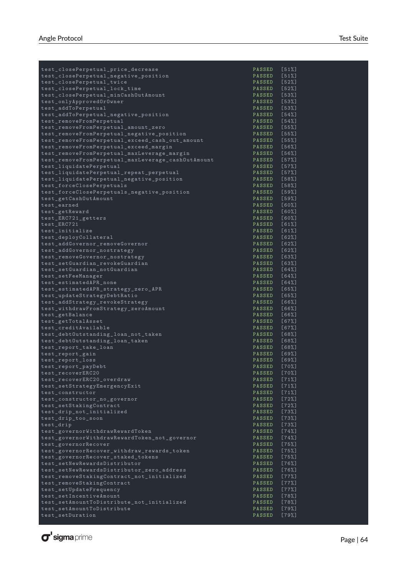| test_closePerpetual_price_decrease                                                        | PASSED [51%]                 |                    |
|-------------------------------------------------------------------------------------------|------------------------------|--------------------|
| test_closePerpetual_negative_position                                                     | PASSED [51%]                 |                    |
| test_closePerpetual_twice                                                                 | PASSED [52%]                 |                    |
| test_closePerpetual_lock_time                                                             | PASSED [52%]                 |                    |
| test_closePerpetual_minCashOutAmount                                                      | PASSED [53%]                 |                    |
| test_onlyApprovedOrOwner                                                                  | PASSED [53%]                 |                    |
| test addToPerpetual                                                                       | PASSED [53%]                 |                    |
| test_addToPerpetual_negative_position                                                     | PASSED [54%]                 |                    |
| test_removeFromPerpetual                                                                  | PASSED [54%]                 |                    |
| test_removeFromPerpetual_amount_zero                                                      | PASSED [55%]                 |                    |
| test_removeFromPerpetual_negative_position                                                | PASSED [55%]                 |                    |
| test_removeFromPerpetual_exceed_cash_out_amount<br>test_removeFromPerpetual_exceed_margin | PASSED [55%]<br>PASSED [56%] |                    |
| test_removeFromPerpetual_maxLeverage_margin                                               | PASSED [56%]                 |                    |
| test_removeFromPerpetual_maxLeverage_cashOutAmount                                        | PASSED [57%]                 |                    |
| test_liquidatePerpetual                                                                   | PASSED [57%]                 |                    |
| test_liquidatePerpetual_repeat_perpetual                                                  | PASSED [57%]                 |                    |
| test_liquidatePerpetual_negative_position                                                 | PASSED [58%]                 |                    |
| test_forceClosePerpetuals                                                                 | PASSED [58%]                 |                    |
| test_forceClosePerpetuals_negative_position                                               | PASSED [59%]                 |                    |
| test_getCashOutAmount                                                                     | PASSED [59%]                 |                    |
| test_earned                                                                               | PASSED [60%]                 |                    |
| test_getReward                                                                            | PASSED [60%]                 |                    |
| test_ERC721_getters                                                                       | PASSED [60%]                 |                    |
| test ERC721                                                                               | PASSED [61%]                 |                    |
| test_initialize                                                                           | PASSED [61%]                 |                    |
| test_deployCollateral                                                                     | PASSED [62%]                 |                    |
| test_addGovernor_removeGovernor                                                           | PASSED [62%]                 |                    |
| test_addGovernor_nostrategy                                                               | PASSED [62%]                 |                    |
| test_removeGovernor_nostrategy                                                            | PASSED [63%]                 |                    |
| test_setGuardian_revokeGuardian                                                           | PASSED [63%]                 |                    |
| test_setGuardian_notGuardian                                                              | PASSED [64%]                 |                    |
| test_setFeeManager                                                                        | PASSED [64%]                 |                    |
| test_estimatedAPR_none                                                                    | PASSED [64%]                 |                    |
| test_estimatedAPR_strategy_zero_APR                                                       | PASSED [65%]                 |                    |
| test_updateStrategyDebtRatio                                                              | PASSED [65%]                 |                    |
| test_addStrategy_revokeStrategy                                                           | PASSED [66%]                 |                    |
| test_withdrawFromStrategy_zeroAmount                                                      | PASSED [66%]<br>PASSED [66%] |                    |
| test_getBalance<br>test_getTotalAsset                                                     | PASSED [67%]                 |                    |
| test_creditAvailable                                                                      | PASSED [67%]                 |                    |
| test_debt0utstanding_loan_not_taken                                                       | PASSED [68%]                 |                    |
| test_debt0utstanding_loan_taken                                                           | PASSED [68%]                 |                    |
| test_report_take_loan                                                                     | PASSED [68%]                 |                    |
| test_report_gain                                                                          | PASSED [69%]                 |                    |
| test_report_loss                                                                          | PASSED [69%]                 |                    |
| $\texttt{test\_report\_payDebt}$                                                          | PASSED [70%]                 |                    |
| test_recoverERC20                                                                         | PASSED                       | [70%]              |
| test_recoverERC20_overdraw                                                                | PASSED                       | $[71%]$            |
| test_setStrategyEmergencyExit                                                             | PASSED                       | $[71%]$            |
| test constructor                                                                          | <b>PASSED</b>                | $[71%]$            |
| test_constructor_no_governor                                                              | <b>PASSED</b>                | [72%]              |
| test_setStakingContract                                                                   | PASSED                       | $[72%]$            |
| test_drip_not_initialized                                                                 | PASSED                       | $[73%]$            |
| test_drip_too_soon                                                                        | PASSED                       | $[73%]$<br>$[73%]$ |
| test_drip<br>test_governorWithdrawRewardToken                                             | PASSED<br>PASSED             | [74%]              |
| test_governorWithdrawRewardToken_not_governor                                             | <b>PASSED</b>                | [74%]              |
| test_governorRecover                                                                      | PASSED                       | [75%]              |
| test_governorRecover_withdraw_rewards_token                                               | <b>PASSED</b>                | $[75%]$            |
| test_governorRecover_staked_tokens                                                        | PASSED                       | [75%]              |
| $\verb test_set  \verb newRewardsDistright $                                              | PASSED                       | [76%]              |
| test_setNewRewardsDistributor_zero_address                                                | PASSED                       | [76%]              |
| test_removeStakingContract_not_initialized                                                | PASSED                       | [77%]              |
| test_removeStakingContract                                                                | PASSED                       | [77%]              |
| test_setUpdateFrequency                                                                   | PASSED                       | [77%]              |
| test_setIncentiveAmount                                                                   | PASSED                       | [78%]              |
| test_setAmountToDistribute_not_initialized                                                | PASSED                       | [78%]              |
| test_setAmountToDistribute                                                                | PASSED                       | $[79%]$            |
| test_setDuration                                                                          | PASSED                       | [79%]              |
|                                                                                           |                              |                    |

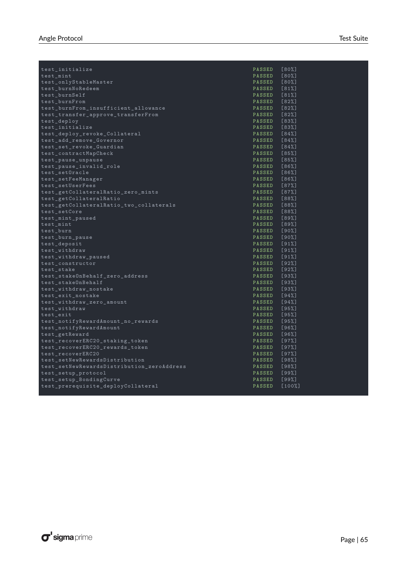| test_initialize                            | PASSED        | [80%] |
|--------------------------------------------|---------------|-------|
| test_mint                                  | PASSED [80%]  |       |
| test_onlyStableMaster                      | PASSED [80%]  |       |
| test_burnNoRedeem                          | PASSED [81%]  |       |
| test_burnSelf                              | PASSED [81%]  |       |
| test_burnFrom                              | PASSED [82%]  |       |
| test_burnFrom_insufficient_allowance       | PASSED [82%]  |       |
| test_transfer_approve_transferFrom         | PASSED [82%]  |       |
| test_deploy                                | PASSED [83%]  |       |
| test_initialize                            | PASSED [83%]  |       |
| test_deploy_revoke_Collateral              | PASSED [84%]  |       |
| test_add_remove_Governor                   | PASSED [84%]  |       |
| test_set_revoke_Guardian                   | PASSED [84%]  |       |
| test_contractMapCheck                      | PASSED [85%]  |       |
| test_pause_unpause                         | PASSED [85%]  |       |
| test_pause_invalid_role                    | PASSED [86%]  |       |
| test_set0racle                             | PASSED [86%]  |       |
| test_setFeeManager                         | PASSED [86%]  |       |
| test setUserFees                           | PASSED [87%]  |       |
| test_getCollateralRatio_zero_mints         | PASSED [87%]  |       |
| test_getCollateralRatio                    | PASSED [88%]  |       |
| test_getCollateralRatio_two_collaterals    | PASSED [88%]  |       |
| test_setCore                               | PASSED [88%]  |       |
| test_mint_paused                           | PASSED [89%]  |       |
| test_mint                                  | PASSED [89%]  |       |
| test_burn                                  | PASSED [90%]  |       |
| test_burn_pause                            | PASSED [90%]  |       |
| test_deposit                               | PASSED [91%]  |       |
| test_withdraw                              | PASSED [91%]  |       |
| test_withdraw_paused                       | PASSED [91%]  |       |
| test_constructor                           | PASSED [92%]  |       |
| test_stake                                 | PASSED [92%]  |       |
| test_stake0nBehalf_zero_address            | PASSED [93%]  |       |
| test_stakeOnBehalf                         | PASSED [93%]  |       |
| test withdraw nostake                      | PASSED [93%]  |       |
| test exit nostake                          | PASSED [94%]  |       |
| test_withdraw_zero_amount                  | PASSED [94%]  |       |
| test_withdraw                              | PASSED [95%]  |       |
| test exit                                  | PASSED [95%]  |       |
| test_notifyRewardAmount_no_rewards         | PASSED [95%]  |       |
| test_notifyRewardAmount                    | PASSED [96%]  |       |
| test_getReward                             | PASSED [96%]  |       |
| test_recoverERC20_staking_token            | PASSED [97%]  |       |
| test_recoverERC20_rewards_token            | PASSED [97%]  |       |
| test recoverERC20                          | PASSED [97%]  |       |
| test_setNewRewardsDistribution             | PASSED [98%]  |       |
| test setNewRewardsDistribution zeroAddress | PASSED [98%]  |       |
| test_setup_protocol                        | PASSED [99%]  |       |
| test_setup_BondingCurve                    | PASSED [99%]  |       |
| test_prerequisite_deployCollateral         | PASSED [100%] |       |
|                                            |               |       |

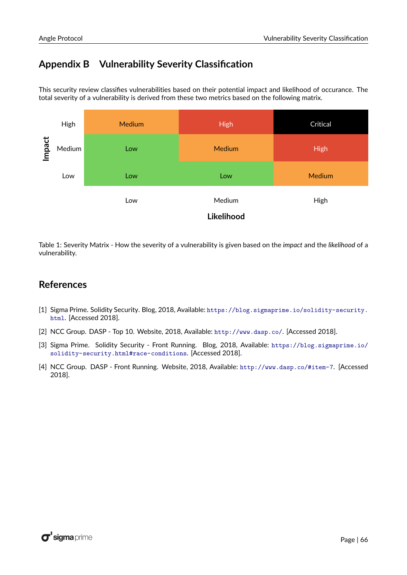# <span id="page-66-0"></span>**Appendix B Vulnerability Severity Classification**

This security review classifies vulnerabilities based on their potential impact and likelihood of occurance. The total severity of a vulnerability is derived from these two metrics based on the following matrix.



Table 1: Severity Matrix - How the severity of a vulnerability is given based on the *impact* and the *likelihood* of a vulnerability.

## **References**

- <span id="page-66-1"></span>[1] Sigma Prime. Solidity Security. Blog, 2018, Available: [https://blog.sigmaprime.io/solidity-security.](https://blog.sigmaprime.io/solidity-security.html) [html](https://blog.sigmaprime.io/solidity-security.html). [Accessed 2018].
- <span id="page-66-2"></span>[2] NCC Group. DASP - Top 10. Website, 2018, Available: <http://www.dasp.co/>. [Accessed 2018].
- <span id="page-66-3"></span>[3] Sigma Prime. Solidity Security - Front Running. Blog, 2018, Available: [https://blog.sigmaprime.io/](https://blog.sigmaprime.io/solidity-security.html#race-conditions) [solidity-security.html#race-conditions](https://blog.sigmaprime.io/solidity-security.html#race-conditions). [Accessed 2018].
- <span id="page-66-4"></span>[4] NCC Group. DASP - Front Running. Website, 2018, Available: <http://www.dasp.co/#item-7>. [Accessed 2018].